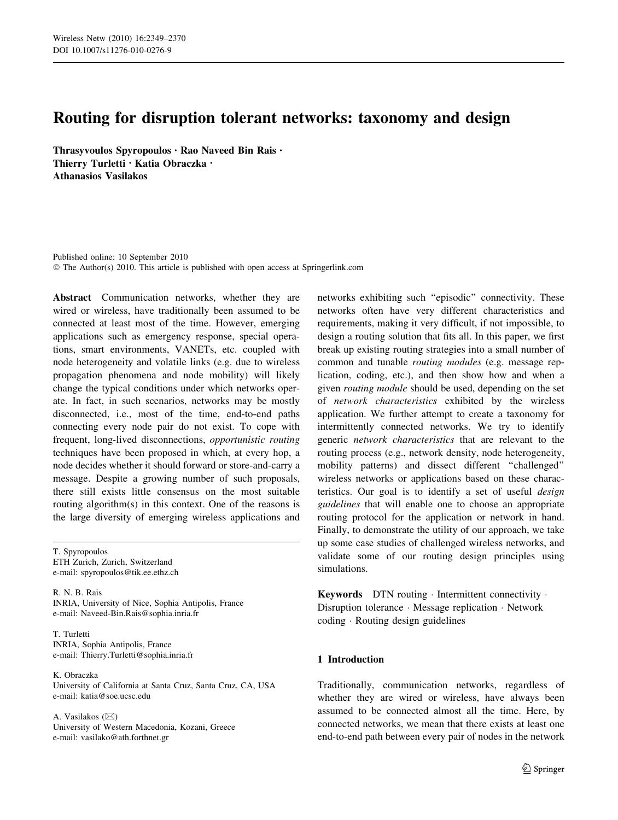# Routing for disruption tolerant networks: taxonomy and design

Thrasyvoulos Spyropoulos • Rao Naveed Bin Rais • Thierry Turletti • Katia Obraczka • Athanasios Vasilakos

Published online: 10 September 2010 © The Author(s) 2010. This article is published with open access at Springerlink.com

Abstract Communication networks, whether they are wired or wireless, have traditionally been assumed to be connected at least most of the time. However, emerging applications such as emergency response, special operations, smart environments, VANETs, etc. coupled with node heterogeneity and volatile links (e.g. due to wireless propagation phenomena and node mobility) will likely change the typical conditions under which networks operate. In fact, in such scenarios, networks may be mostly disconnected, i.e., most of the time, end-to-end paths connecting every node pair do not exist. To cope with frequent, long-lived disconnections, *opportunistic routing* techniques have been proposed in which, at every hop, a node decides whether it should forward or store-and-carry a message. Despite a growing number of such proposals, there still exists little consensus on the most suitable routing algorithm(s) in this context. One of the reasons is the large diversity of emerging wireless applications and

T. Spyropoulos ETH Zurich, Zurich, Switzerland e-mail: spyropoulos@tik.ee.ethz.ch

R. N. B. Rais INRIA, University of Nice, Sophia Antipolis, France e-mail: Naveed-Bin.Rais@sophia.inria.fr

T. Turletti INRIA, Sophia Antipolis, France e-mail: Thierry.Turletti@sophia.inria.fr

K. Obraczka University of California at Santa Cruz, Santa Cruz, CA, USA e-mail: katia@soe.ucsc.edu

A. Vasilakos  $(\boxtimes)$ University of Western Macedonia, Kozani, Greece e-mail: vasilako@ath.forthnet.gr

networks exhibiting such ''episodic'' connectivity. These networks often have very different characteristics and requirements, making it very difficult, if not impossible, to design a routing solution that fits all. In this paper, we first break up existing routing strategies into a small number of common and tunable *routing modules* (e.g. message replication, coding, etc.), and then show how and when a given *routing module* should be used, depending on the set of *network characteristics* exhibited by the wireless application. We further attempt to create a taxonomy for intermittently connected networks. We try to identify generic *network characteristics* that are relevant to the routing process (e.g., network density, node heterogeneity, mobility patterns) and dissect different ''challenged'' wireless networks or applications based on these characteristics. Our goal is to identify a set of useful *design guidelines* that will enable one to choose an appropriate routing protocol for the application or network in hand. Finally, to demonstrate the utility of our approach, we take up some case studies of challenged wireless networks, and validate some of our routing design principles using simulations.

Keywords DTN routing - Intermittent connectivity - Disruption tolerance - Message replication - Network coding - Routing design guidelines

# 1 Introduction

Traditionally, communication networks, regardless of whether they are wired or wireless, have always been assumed to be connected almost all the time. Here, by connected networks, we mean that there exists at least one end-to-end path between every pair of nodes in the network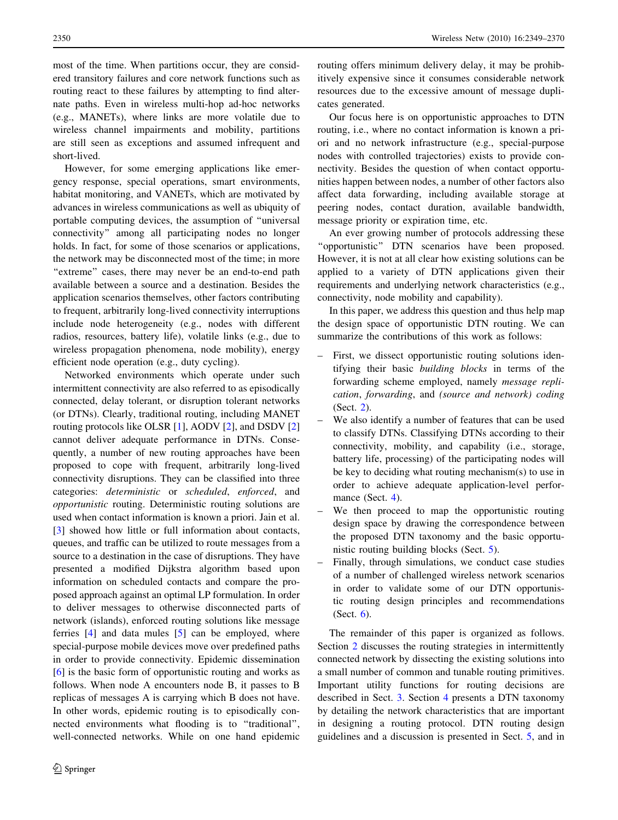most of the time. When partitions occur, they are considered transitory failures and core network functions such as routing react to these failures by attempting to find alternate paths. Even in wireless multi-hop ad-hoc networks (e.g., MANETs), where links are more volatile due to wireless channel impairments and mobility, partitions are still seen as exceptions and assumed infrequent and short-lived.

However, for some emerging applications like emergency response, special operations, smart environments, habitat monitoring, and VANETs, which are motivated by advances in wireless communications as well as ubiquity of portable computing devices, the assumption of ''universal connectivity'' among all participating nodes no longer holds. In fact, for some of those scenarios or applications, the network may be disconnected most of the time; in more "extreme" cases, there may never be an end-to-end path available between a source and a destination. Besides the application scenarios themselves, other factors contributing to frequent, arbitrarily long-lived connectivity interruptions include node heterogeneity (e.g., nodes with different radios, resources, battery life), volatile links (e.g., due to wireless propagation phenomena, node mobility), energy efficient node operation (e.g., duty cycling).

Networked environments which operate under such intermittent connectivity are also referred to as episodically connected, delay tolerant, or disruption tolerant networks (or DTNs). Clearly, traditional routing, including MANET routing protocols like OLSR [1], AODV [2], and DSDV [2] cannot deliver adequate performance in DTNs. Consequently, a number of new routing approaches have been proposed to cope with frequent, arbitrarily long-lived connectivity disruptions. They can be classified into three categories: *deterministic* or *scheduled*, *enforced*, and *opportunistic* routing. Deterministic routing solutions are used when contact information is known a priori. Jain et al. [3] showed how little or full information about contacts, queues, and traffic can be utilized to route messages from a source to a destination in the case of disruptions. They have presented a modified Dijkstra algorithm based upon information on scheduled contacts and compare the proposed approach against an optimal LP formulation. In order to deliver messages to otherwise disconnected parts of network (islands), enforced routing solutions like message ferries  $[4]$  and data mules  $[5]$  can be employed, where special-purpose mobile devices move over predefined paths in order to provide connectivity. Epidemic dissemination [6] is the basic form of opportunistic routing and works as follows. When node A encounters node B, it passes to B replicas of messages A is carrying which B does not have. In other words, epidemic routing is to episodically connected environments what flooding is to ''traditional'', well-connected networks. While on one hand epidemic routing offers minimum delivery delay, it may be prohibitively expensive since it consumes considerable network resources due to the excessive amount of message duplicates generated.

Our focus here is on opportunistic approaches to DTN routing, i.e., where no contact information is known a priori and no network infrastructure (e.g., special-purpose nodes with controlled trajectories) exists to provide connectivity. Besides the question of when contact opportunities happen between nodes, a number of other factors also affect data forwarding, including available storage at peering nodes, contact duration, available bandwidth, message priority or expiration time, etc.

An ever growing number of protocols addressing these "opportunistic" DTN scenarios have been proposed. However, it is not at all clear how existing solutions can be applied to a variety of DTN applications given their requirements and underlying network characteristics (e.g., connectivity, node mobility and capability).

In this paper, we address this question and thus help map the design space of opportunistic DTN routing. We can summarize the contributions of this work as follows:

- First, we dissect opportunistic routing solutions identifying their basic *building blocks* in terms of the forwarding scheme employed, namely *message replication*, *forwarding*, and *(source and network) coding* (Sect. 2).
- We also identify a number of features that can be used to classify DTNs. Classifying DTNs according to their connectivity, mobility, and capability (i.e., storage, battery life, processing) of the participating nodes will be key to deciding what routing mechanism(s) to use in order to achieve adequate application-level performance (Sect. 4).
- We then proceed to map the opportunistic routing design space by drawing the correspondence between the proposed DTN taxonomy and the basic opportunistic routing building blocks (Sect. 5).
- Finally, through simulations, we conduct case studies of a number of challenged wireless network scenarios in order to validate some of our DTN opportunistic routing design principles and recommendations (Sect. 6).

The remainder of this paper is organized as follows. Section 2 discusses the routing strategies in intermittently connected network by dissecting the existing solutions into a small number of common and tunable routing primitives. Important utility functions for routing decisions are described in Sect. 3. Section 4 presents a DTN taxonomy by detailing the network characteristics that are important in designing a routing protocol. DTN routing design guidelines and a discussion is presented in Sect. 5, and in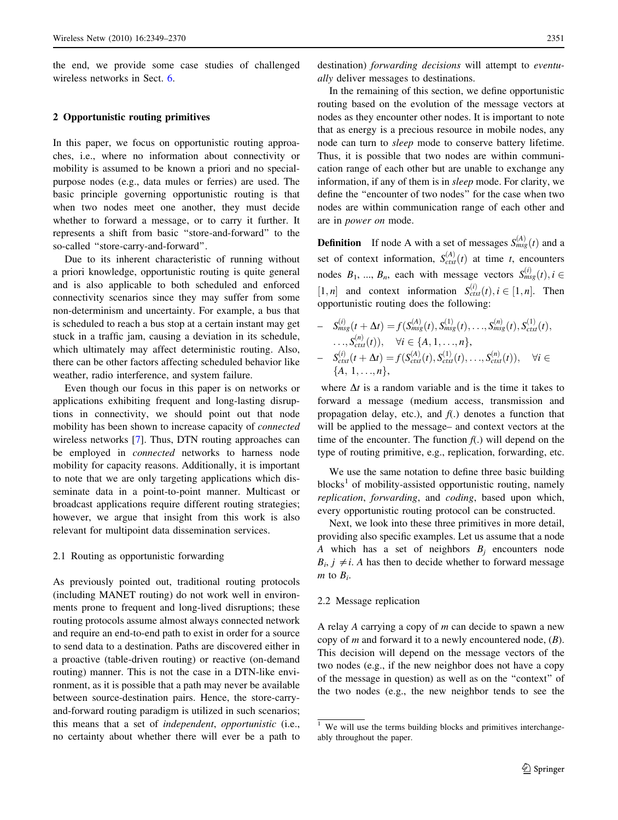the end, we provide some case studies of challenged wireless networks in Sect. 6.

# 2 Opportunistic routing primitives

In this paper, we focus on opportunistic routing approaches, i.e., where no information about connectivity or mobility is assumed to be known a priori and no specialpurpose nodes (e.g., data mules or ferries) are used. The basic principle governing opportunistic routing is that when two nodes meet one another, they must decide whether to forward a message, or to carry it further. It represents a shift from basic ''store-and-forward'' to the so-called ''store-carry-and-forward''.

Due to its inherent characteristic of running without a priori knowledge, opportunistic routing is quite general and is also applicable to both scheduled and enforced connectivity scenarios since they may suffer from some non-determinism and uncertainty. For example, a bus that is scheduled to reach a bus stop at a certain instant may get stuck in a traffic jam, causing a deviation in its schedule, which ultimately may affect deterministic routing. Also, there can be other factors affecting scheduled behavior like weather, radio interference, and system failure.

Even though our focus in this paper is on networks or applications exhibiting frequent and long-lasting disruptions in connectivity, we should point out that node mobility has been shown to increase capacity of *connected* wireless networks [7]. Thus, DTN routing approaches can be employed in *connected* networks to harness node mobility for capacity reasons. Additionally, it is important to note that we are only targeting applications which disseminate data in a point-to-point manner. Multicast or broadcast applications require different routing strategies; however, we argue that insight from this work is also relevant for multipoint data dissemination services.

#### 2.1 Routing as opportunistic forwarding

As previously pointed out, traditional routing protocols (including MANET routing) do not work well in environments prone to frequent and long-lived disruptions; these routing protocols assume almost always connected network and require an end-to-end path to exist in order for a source to send data to a destination. Paths are discovered either in a proactive (table-driven routing) or reactive (on-demand routing) manner. This is not the case in a DTN-like environment, as it is possible that a path may never be available between source-destination pairs. Hence, the store-carryand-forward routing paradigm is utilized in such scenarios; this means that a set of *independent*, *opportunistic* (i.e., no certainty about whether there will ever be a path to destination) *forwarding decisions* will attempt to *eventually* deliver messages to destinations.

In the remaining of this section, we define opportunistic routing based on the evolution of the message vectors at nodes as they encounter other nodes. It is important to note that as energy is a precious resource in mobile nodes, any node can turn to *sleep* mode to conserve battery lifetime. Thus, it is possible that two nodes are within communication range of each other but are unable to exchange any information, if any of them is in *sleep* mode. For clarity, we define the ''encounter of two nodes'' for the case when two nodes are within communication range of each other and are in *power on* mode.

**Definition** If node A with a set of messages  $S_{\text{msg}}^{(A)}(t)$  and a set of context information,  $S_{\text{ctrl}}^{(A)}(t)$  at time *t*, encounters nodes  $B_1$ , ...,  $B_n$ , each with message vectors  $S_{\text{msg}}^{(i)}(t)$ ,  $i \in$  $[1, n]$  and context information  $S_{\text{crut}}^{(i)}(t), i \in [1, n]$ . Then opportunistic routing does the following:

- 
$$
S_{msg}^{(i)}(t + \Delta t) = f(S_{msg}^{(A)}(t), S_{msg}^{(1)}(t), ..., S_{msg}^{(n)}(t), S_{ctx}^{(1)}(t),
$$
  
\n...,  $S_{ctx}^{(n)}(t))$ ,  $\forall i \in \{A, 1, ..., n\},$   
\n-  $S_{ctx}^{(i)}(t + \Delta t) = f(S_{ctx}^{(A)}(t), S_{ctx}^{(1)}(t), ..., S_{ctx}^{(n)}(t)), \forall i \in \{A, 1, ..., n\},$ 

where  $\Delta t$  is a random variable and is the time it takes to forward a message (medium access, transmission and propagation delay, etc.), and *f*(.) denotes a function that will be applied to the message– and context vectors at the time of the encounter. The function *f*(.) will depend on the type of routing primitive, e.g., replication, forwarding, etc.

We use the same notation to define three basic building blocks<sup>1</sup> of mobility-assisted opportunistic routing, namely *replication*, *forwarding*, and *coding*, based upon which, every opportunistic routing protocol can be constructed.

Next, we look into these three primitives in more detail, providing also specific examples. Let us assume that a node *A* which has a set of neighbors  $B_i$  encounters node  $B_i$ ,  $j \neq i$ . *A* has then to decide whether to forward message *m* to  $B_i$ .

#### 2.2 Message replication

A relay *A* carrying a copy of *m* can decide to spawn a new copy of *m* and forward it to a newly encountered node, (*B*). This decision will depend on the message vectors of the two nodes (e.g., if the new neighbor does not have a copy of the message in question) as well as on the ''context'' of the two nodes (e.g., the new neighbor tends to see the

<sup>&</sup>lt;sup>1</sup> We will use the terms building blocks and primitives interchangeably throughout the paper.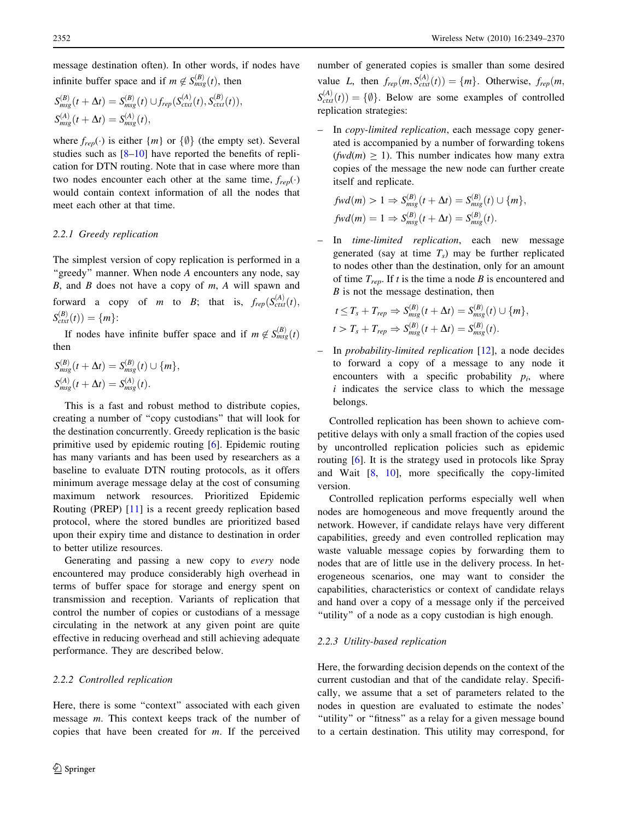message destination often). In other words, if nodes have infinite buffer space and if  $m \notin S_{msg}^{(B)}(t)$ , then

$$
S_{msg}^{(B)}(t + \Delta t) = S_{msg}^{(B)}(t) \cup f_{rep}(S_{ctxt}^{(A)}(t), S_{ctx}^{(B)}(t)),
$$
  

$$
S_{msg}^{(A)}(t + \Delta t) = S_{msg}^{(A)}(t),
$$

where  $f_{rep}(\cdot)$  is either  $\{m\}$  or  $\{\emptyset\}$  (the empty set). Several studies such as [8–10] have reported the benefits of replication for DTN routing. Note that in case where more than two nodes encounter each other at the same time,  $f_{rep}(\cdot)$ would contain context information of all the nodes that meet each other at that time.

## *2.2.1 Greedy replication*

The simplest version of copy replication is performed in a "greedy" manner. When node *A* encounters any node, say *B*, and *B* does not have a copy of *m*, *A* will spawn and forward a copy of *m* to *B*; that is,  $f_{rep}(S_{\text{ctrl}}^{(A)}(t))$  $S_{\text{ctxt}}^{(B)}(t)) = \{m\}$ :

If nodes have infinite buffer space and if  $m \notin S_{msg}^{(B)}(t)$ then

$$
S_{msg}^{(B)}(t + \Delta t) = S_{msg}^{(B)}(t) \cup \{m\},
$$
  
\n
$$
S_{msg}^{(A)}(t + \Delta t) = S_{msg}^{(A)}(t).
$$

This is a fast and robust method to distribute copies, creating a number of ''copy custodians'' that will look for the destination concurrently. Greedy replication is the basic primitive used by epidemic routing [6]. Epidemic routing has many variants and has been used by researchers as a baseline to evaluate DTN routing protocols, as it offers minimum average message delay at the cost of consuming maximum network resources. Prioritized Epidemic Routing (PREP) [11] is a recent greedy replication based protocol, where the stored bundles are prioritized based upon their expiry time and distance to destination in order to better utilize resources.

Generating and passing a new copy to *every* node encountered may produce considerably high overhead in terms of buffer space for storage and energy spent on transmission and reception. Variants of replication that control the number of copies or custodians of a message circulating in the network at any given point are quite effective in reducing overhead and still achieving adequate performance. They are described below.

## *2.2.2 Controlled replication*

Here, there is some "context" associated with each given message *m*. This context keeps track of the number of copies that have been created for *m*. If the perceived number of generated copies is smaller than some desired value *L*, then  $f_{rep}(m, S_{\text{ctxt}}^{(A)}(t)) = \{m\}$ . Otherwise,  $f_{rep}(m, S_{\text{cutz}}^{(A)}(t)) = \{m\}$ .  $S_{\text{ctx}}^{(A)}(t) = \{\emptyset\}.$  Below are some examples of controlled replication strategies:

– In *copy-limited replication*, each message copy generated is accompanied by a number of forwarding tokens  $(fwd(m) > 1)$ . This number indicates how many extra copies of the message the new node can further create itself and replicate.

$$
\begin{aligned} \text{fwd}(m) > 1 \Rightarrow S_{msg}^{(B)}(t + \Delta t) = S_{msg}^{(B)}(t) \cup \{m\}, \\ \text{fwd}(m) &= 1 \Rightarrow S_{msg}^{(B)}(t + \Delta t) = S_{msg}^{(B)}(t). \end{aligned}
$$

– In *time-limited replication*, each new message generated (say at time *T<sup>s</sup>* ) may be further replicated to nodes other than the destination, only for an amount of time *Trep*. If *t* is the time a node *B* is encountered and *B* is not the message destination, then

$$
t \leq T_s + T_{rep} \Rightarrow S_{msg}^{(B)}(t + \Delta t) = S_{msg}^{(B)}(t) \cup \{m\},
$$
  

$$
t > T_s + T_{rep} \Rightarrow S_{msg}^{(B)}(t + \Delta t) = S_{msg}^{(B)}(t).
$$

– In *probability-limited replication* [12], a node decides to forward a copy of a message to any node it encounters with a specific probability  $p_i$ , where *i* indicates the service class to which the message belongs.

Controlled replication has been shown to achieve competitive delays with only a small fraction of the copies used by uncontrolled replication policies such as epidemic routing [6]. It is the strategy used in protocols like Spray and Wait [8, 10], more specifically the copy-limited version.

Controlled replication performs especially well when nodes are homogeneous and move frequently around the network. However, if candidate relays have very different capabilities, greedy and even controlled replication may waste valuable message copies by forwarding them to nodes that are of little use in the delivery process. In heterogeneous scenarios, one may want to consider the capabilities, characteristics or context of candidate relays and hand over a copy of a message only if the perceived "utility" of a node as a copy custodian is high enough.

## *2.2.3 Utility-based replication*

Here, the forwarding decision depends on the context of the current custodian and that of the candidate relay. Specifically, we assume that a set of parameters related to the nodes in question are evaluated to estimate the nodes' "utility" or "fitness" as a relay for a given message bound to a certain destination. This utility may correspond, for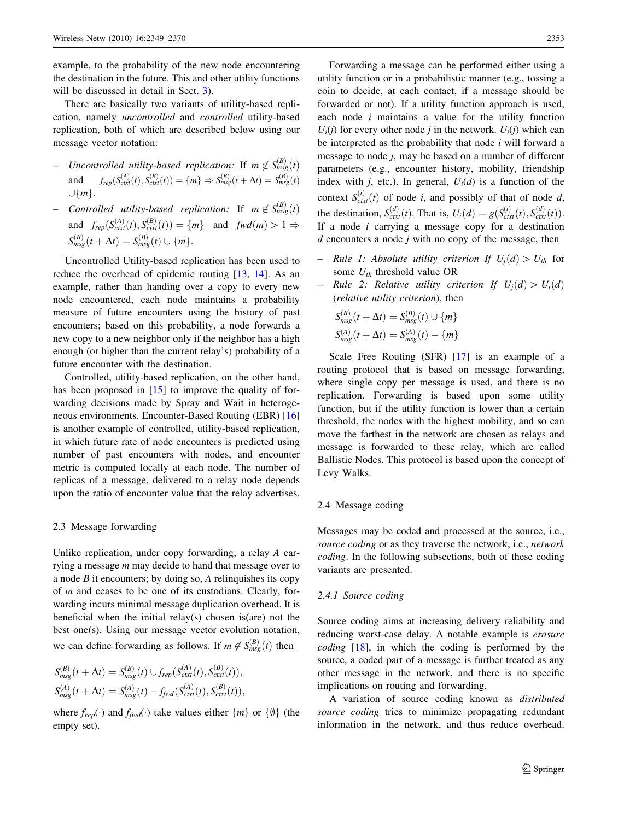example, to the probability of the new node encountering the destination in the future. This and other utility functions will be discussed in detail in Sect. 3).

There are basically two variants of utility-based replication, namely *uncontrolled* and *controlled* utility-based replication, both of which are described below using our message vector notation:

- $-$  *Uncontrolled utility-based replication:* If  $m \notin S_{msg}^{(B)}(t)$ and  $f_{rep}(S_{\text{ctrl}}^{(A)}(t), S_{\text{ctrl}}^{(B)}(t)) = \{m\} \Rightarrow S_{\text{msg}}^{(B)}(t + \Delta t) = S_{\text{msg}}^{(B)}(t)$  $\cup \{m\}.$
- $-$  *Controlled utility-based replication:* If  $m \notin S_{msg}^{(B)}(t)$ and  $f_{rep}(S_{\text{ctrl}}^{(A)}(t), S_{\text{ctrl}}^{(B)}(t)) = \{m\}$  and  $fwd(m) > 1 \Rightarrow$  $S_{msg}^{(B)}(t + \Delta t) = S_{msg}^{(B)}(t) \cup \{m\}.$

Uncontrolled Utility-based replication has been used to reduce the overhead of epidemic routing [13, 14]. As an example, rather than handing over a copy to every new node encountered, each node maintains a probability measure of future encounters using the history of past encounters; based on this probability, a node forwards a new copy to a new neighbor only if the neighbor has a high enough (or higher than the current relay's) probability of a future encounter with the destination.

Controlled, utility-based replication, on the other hand, has been proposed in [15] to improve the quality of forwarding decisions made by Spray and Wait in heterogeneous environments. Encounter-Based Routing (EBR) [16] is another example of controlled, utility-based replication, in which future rate of node encounters is predicted using number of past encounters with nodes, and encounter metric is computed locally at each node. The number of replicas of a message, delivered to a relay node depends upon the ratio of encounter value that the relay advertises.

#### 2.3 Message forwarding

Unlike replication, under copy forwarding, a relay *A* carrying a message *m* may decide to hand that message over to a node *B* it encounters; by doing so, *A* relinquishes its copy of *m* and ceases to be one of its custodians. Clearly, forwarding incurs minimal message duplication overhead. It is beneficial when the initial relay(s) chosen is(are) not the best one(s). Using our message vector evolution notation, we can define forwarding as follows. If  $m \notin S_{msg}^{(B)}(t)$  then

$$
S_{msg}^{(B)}(t + \Delta t) = S_{msg}^{(B)}(t) \cup f_{rep}(S_{ctrl}^{(A)}(t), S_{ctrl}^{(B)}(t)),
$$
  
\n
$$
S_{msg}^{(A)}(t + \Delta t) = S_{msg}^{(A)}(t) - f_{fwd}(S_{ctrl}^{(A)}(t), S_{ctrl}^{(B)}(t)),
$$

where  $f_{rep}(\cdot)$  and  $f_{fwd}(\cdot)$  take values either  $\{m\}$  or  $\{\emptyset\}$  (the empty set).

Forwarding a message can be performed either using a utility function or in a probabilistic manner (e.g., tossing a coin to decide, at each contact, if a message should be forwarded or not). If a utility function approach is used, each node *i* maintains a value for the utility function  $U_i(j)$  for every other node *j* in the network.  $U_i(j)$  which can be interpreted as the probability that node *i* will forward a message to node *j*, may be based on a number of different parameters (e.g., encounter history, mobility, friendship index with  $j$ , etc.). In general,  $U_i(d)$  is a function of the context  $S_{\text{ctrl}}^{(i)}(t)$  of node *i*, and possibly of that of node *d*, the destination,  $S_{\text{ctrl}}^{(d)}(t)$ . That is,  $U_i(d) = g(S_{\text{ctrl}}^{(i)}(t), S_{\text{ctrl}}^{(d)}(t))$ . If a node *i* carrying a message copy for a destination *d* encounters a node *j* with no copy of the message, then

- *Rule 1: Absolute utility criterion If*  $U_i(d) > U_{th}$  for some *Uth* threshold value OR
- *Rule 2: Relative utility criterion If*  $U_i(d) > U_i(d)$ (*relative utility criterion*), then

$$
S_{msg}^{(B)}(t + \Delta t) = S_{msg}^{(B)}(t) \cup \{m\}
$$
  

$$
S_{msg}^{(A)}(t + \Delta t) = S_{msg}^{(A)}(t) - \{m\}
$$

Scale Free Routing (SFR) [17] is an example of a routing protocol that is based on message forwarding, where single copy per message is used, and there is no replication. Forwarding is based upon some utility function, but if the utility function is lower than a certain threshold, the nodes with the highest mobility, and so can move the farthest in the network are chosen as relays and message is forwarded to these relay, which are called Ballistic Nodes. This protocol is based upon the concept of Levy Walks.

#### 2.4 Message coding

Messages may be coded and processed at the source, i.e., *source coding* or as they traverse the network, i.e., *network coding*. In the following subsections, both of these coding variants are presented.

#### *2.4.1 Source coding*

Source coding aims at increasing delivery reliability and reducing worst-case delay. A notable example is *erasure coding* [18], in which the coding is performed by the source, a coded part of a message is further treated as any other message in the network, and there is no specific implications on routing and forwarding.

A variation of source coding known as *distributed source coding* tries to minimize propagating redundant information in the network, and thus reduce overhead.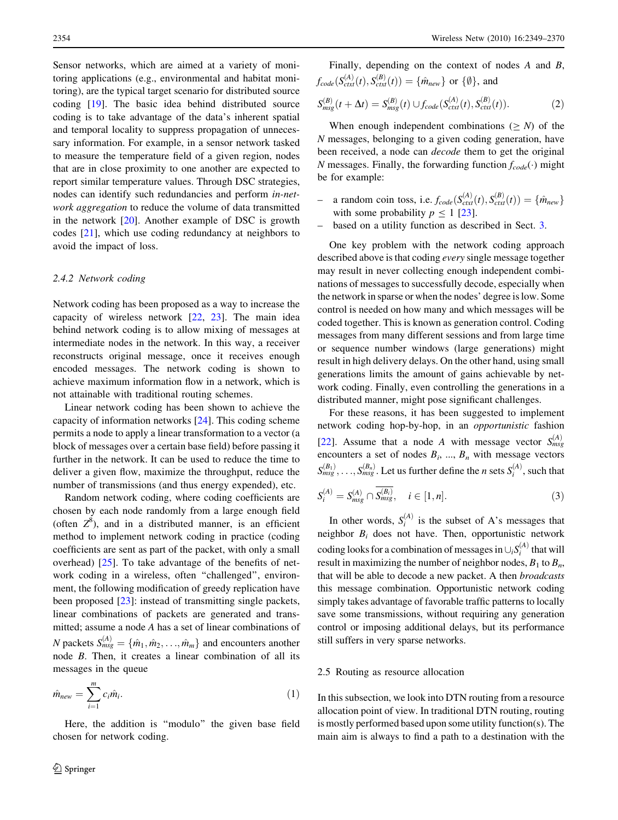Sensor networks, which are aimed at a variety of monitoring applications (e.g., environmental and habitat monitoring), are the typical target scenario for distributed source coding [19]. The basic idea behind distributed source coding is to take advantage of the data's inherent spatial and temporal locality to suppress propagation of unnecessary information. For example, in a sensor network tasked to measure the temperature field of a given region, nodes that are in close proximity to one another are expected to report similar temperature values. Through DSC strategies, nodes can identify such redundancies and perform *in-network aggregation* to reduce the volume of data transmitted in the network [20]. Another example of DSC is growth codes [21], which use coding redundancy at neighbors to avoid the impact of loss.

#### *2.4.2 Network coding*

Network coding has been proposed as a way to increase the capacity of wireless network [22, 23]. The main idea behind network coding is to allow mixing of messages at intermediate nodes in the network. In this way, a receiver reconstructs original message, once it receives enough encoded messages. The network coding is shown to achieve maximum information flow in a network, which is not attainable with traditional routing schemes.

Linear network coding has been shown to achieve the capacity of information networks [24]. This coding scheme permits a node to apply a linear transformation to a vector (a block of messages over a certain base field) before passing it further in the network. It can be used to reduce the time to deliver a given flow, maximize the throughput, reduce the number of transmissions (and thus energy expended), etc.

Random network coding, where coding coefficients are chosen by each node randomly from a large enough field (often  $Z^8$ ), and in a distributed manner, is an efficient method to implement network coding in practice (coding coefficients are sent as part of the packet, with only a small overhead)  $[25]$ . To take advantage of the benefits of network coding in a wireless, often ''challenged'', environment, the following modification of greedy replication have been proposed [23]: instead of transmitting single packets, linear combinations of packets are generated and transmitted; assume a node *A* has a set of linear combinations of *N* packets  $S_{msg}^{(A)} = \{\hat{m}_1, \hat{m}_2, \ldots, \hat{m}_m\}$  and encounters another node *B*. Then, it creates a linear combination of all its messages in the queue

$$
\hat{m}_{new} = \sum_{i=1}^{m} c_i \hat{m}_i.
$$
\n(1)

Here, the addition is ''modulo'' the given base field chosen for network coding.

Finally, depending on the context of nodes *A* and *B*,  $f_{code}(S_{ctxt}^{(A)}(t), S_{ctx}^{(B)}(t)) = \{\hat{m}_{new}\}\$  or  $\{\emptyset\}$ , and

$$
S_{msg}^{(B)}(t + \Delta t) = S_{msg}^{(B)}(t) \cup f_{code}(S_{ctrl}^{(A)}(t), S_{ctrl}^{(B)}(t)).
$$
 (2)

When enough independent combinations  $(\geq N)$  of the *N* messages, belonging to a given coding generation, have been received, a node can *decode* them to get the original *N* messages. Finally, the forwarding function *fcode*(-) might be for example:

- $-$  a random coin toss, i.e.  $f_{code}(S_{ctx}^{(A)}(t), S_{ctx}^{(B)}(t)) = \{\hat{m}_{new}\}\$ with some probability  $p \le 1$  [23].
- based on a utility function as described in Sect. 3.

One key problem with the network coding approach described above is that coding *every* single message together may result in never collecting enough independent combinations of messages to successfully decode, especially when the network in sparse or when the nodes' degree is low. Some control is needed on how many and which messages will be coded together. This is known as generation control. Coding messages from many different sessions and from large time or sequence number windows (large generations) might result in high delivery delays. On the other hand, using small generations limits the amount of gains achievable by network coding. Finally, even controlling the generations in a distributed manner, might pose significant challenges.

For these reasons, it has been suggested to implement network coding hop-by-hop, in an *opportunistic* fashion [22]. Assume that a node *A* with message vector  $S_{msg}^{(A)}$ encounters a set of nodes  $B_i$ , ...,  $B_n$  with message vectors  $S_{msg}^{(B_1)}, \ldots, S_{msg}^{(B_n)}$ . Let us further define the *n* sets  $S_i^{(A)}$ , such that  $\phi(A)$  $(B_i)$ 

$$
S_i^{(A)} = S_{msg}^{(A)} \cap S_{msg}^{(B_i)}, \quad i \in [1, n].
$$
 (3)

In other words,  $S_i^{(A)}$  is the subset of A's messages that neighbor *B<sup>i</sup>* does not have. Then, opportunistic network coding looks for a combination of messages in  $\cup_i S_i^{(A)}$  that will result in maximizing the number of neighbor nodes,  $B_1$  to  $B_n$ , that will be able to decode a new packet. A then *broadcasts* this message combination. Opportunistic network coding simply takes advantage of favorable traffic patterns to locally save some transmissions, without requiring any generation control or imposing additional delays, but its performance still suffers in very sparse networks.

# 2.5 Routing as resource allocation

In this subsection, we look into DTN routing from a resource allocation point of view. In traditional DTN routing, routing is mostly performed based upon some utility function(s). The main aim is always to find a path to a destination with the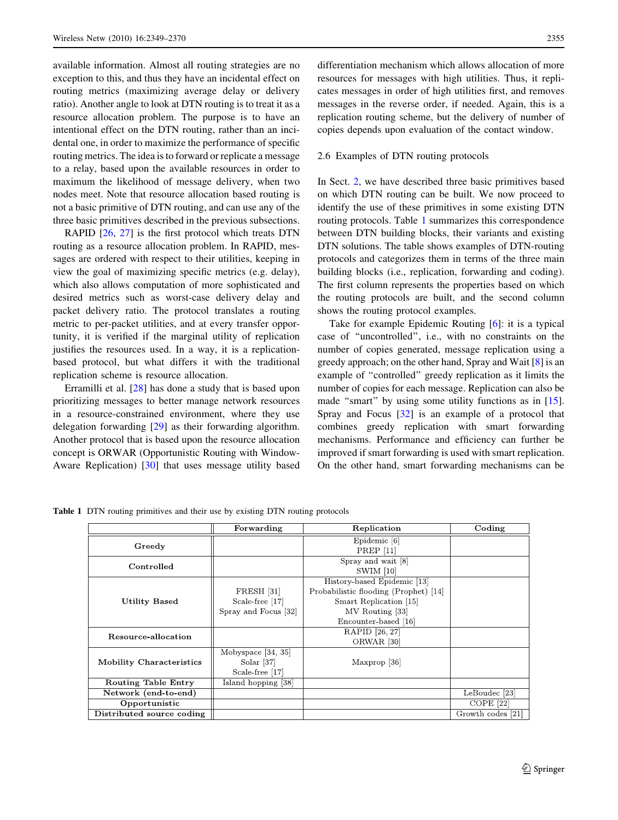available information. Almost all routing strategies are no exception to this, and thus they have an incidental effect on routing metrics (maximizing average delay or delivery ratio). Another angle to look at DTN routing is to treat it as a resource allocation problem. The purpose is to have an intentional effect on the DTN routing, rather than an incidental one, in order to maximize the performance of specific routing metrics. The idea is to forward or replicate a message to a relay, based upon the available resources in order to maximum the likelihood of message delivery, when two nodes meet. Note that resource allocation based routing is not a basic primitive of DTN routing, and can use any of the three basic primitives described in the previous subsections.

RAPID [26, 27] is the first protocol which treats DTN routing as a resource allocation problem. In RAPID, messages are ordered with respect to their utilities, keeping in view the goal of maximizing specific metrics (e.g. delay), which also allows computation of more sophisticated and desired metrics such as worst-case delivery delay and packet delivery ratio. The protocol translates a routing metric to per-packet utilities, and at every transfer opportunity, it is verified if the marginal utility of replication justifies the resources used. In a way, it is a replicationbased protocol, but what differs it with the traditional replication scheme is resource allocation.

Erramilli et al. [28] has done a study that is based upon prioritizing messages to better manage network resources in a resource-constrained environment, where they use delegation forwarding [29] as their forwarding algorithm. Another protocol that is based upon the resource allocation concept is ORWAR (Opportunistic Routing with Window-Aware Replication) [30] that uses message utility based differentiation mechanism which allows allocation of more resources for messages with high utilities. Thus, it replicates messages in order of high utilities first, and removes messages in the reverse order, if needed. Again, this is a replication routing scheme, but the delivery of number of copies depends upon evaluation of the contact window.

#### 2.6 Examples of DTN routing protocols

In Sect. 2, we have described three basic primitives based on which DTN routing can be built. We now proceed to identify the use of these primitives in some existing DTN routing protocols. Table 1 summarizes this correspondence between DTN building blocks, their variants and existing DTN solutions. The table shows examples of DTN-routing protocols and categorizes them in terms of the three main building blocks (i.e., replication, forwarding and coding). The first column represents the properties based on which the routing protocols are built, and the second column shows the routing protocol examples.

Take for example Epidemic Routing [6]: it is a typical case of ''uncontrolled'', i.e., with no constraints on the number of copies generated, message replication using a greedy approach; on the other hand, Spray and Wait [8] is an example of ''controlled'' greedy replication as it limits the number of copies for each message. Replication can also be made "smart" by using some utility functions as in [15]. Spray and Focus [32] is an example of a protocol that combines greedy replication with smart forwarding mechanisms. Performance and efficiency can further be improved if smart forwarding is used with smart replication. On the other hand, smart forwarding mechanisms can be

Table 1 DTN routing primitives and their use by existing DTN routing protocols

|                                 | Forwarding           | Replication                           | Coding                   |  |
|---------------------------------|----------------------|---------------------------------------|--------------------------|--|
| Greedy                          |                      | Epidemic [6]                          |                          |  |
|                                 |                      | <b>PREP</b> [11]                      |                          |  |
| Controlled                      |                      | Spray and wait [8]                    |                          |  |
|                                 |                      | <b>SWIM</b> [10]                      |                          |  |
| Utility Based                   |                      | History-based Epidemic [13]           |                          |  |
|                                 | FRESH [31]           | Probabilistic flooding (Prophet) [14] |                          |  |
|                                 | Scale-free [17]      | Smart Replication [15]                |                          |  |
|                                 | Spray and Focus [32] | MV Routing [33]                       |                          |  |
|                                 |                      | Encounter-based [16]                  |                          |  |
| Resource-allocation             |                      | RAPID [26, 27]                        |                          |  |
|                                 |                      | ORWAR <sup>[30]</sup>                 |                          |  |
| <b>Mobility Characteristics</b> | Mobyspace $[34, 35]$ |                                       |                          |  |
|                                 | Solar $[37]$         | Maxprop [36]                          |                          |  |
|                                 | Scale free [17]      |                                       |                          |  |
| <b>Routing Table Entry</b>      | Island hopping [38]  |                                       |                          |  |
| Network (end-to-end)            |                      |                                       | LeBoudec <sup>[23]</sup> |  |
| Opportunistic                   |                      |                                       | $COPE$ [22]              |  |
| Distributed source coding       |                      |                                       | Growth codes [21]        |  |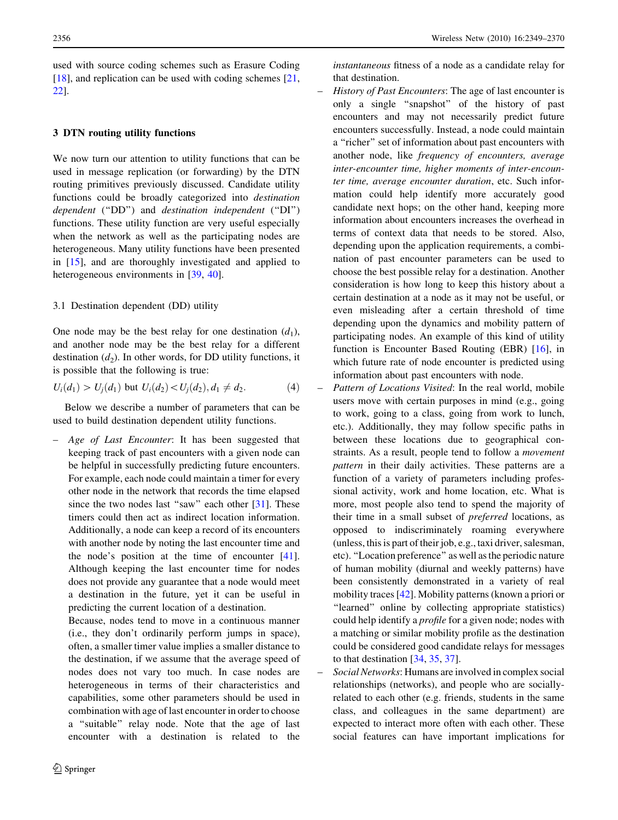used with source coding schemes such as Erasure Coding [18], and replication can be used with coding schemes [21, 22].

## 3 DTN routing utility functions

We now turn our attention to utility functions that can be used in message replication (or forwarding) by the DTN routing primitives previously discussed. Candidate utility functions could be broadly categorized into *destination dependent* (''DD'') and *destination independent* (''DI'') functions. These utility function are very useful especially when the network as well as the participating nodes are heterogeneous. Many utility functions have been presented in [15], and are thoroughly investigated and applied to heterogeneous environments in [39, 40].

# 3.1 Destination dependent (DD) utility

One node may be the best relay for one destination  $(d_1)$ , and another node may be the best relay for a different destination  $(d_2)$ . In other words, for DD utility functions, it is possible that the following is true:

$$
U_i(d_1) > U_j(d_1) \text{ but } U_i(d_2) < U_j(d_2), d_1 \neq d_2.
$$
 (4)

Below we describe a number of parameters that can be used to build destination dependent utility functions.

– *Age of Last Encounter*: It has been suggested that keeping track of past encounters with a given node can be helpful in successfully predicting future encounters. For example, each node could maintain a timer for every other node in the network that records the time elapsed since the two nodes last "saw" each other  $[31]$ . These timers could then act as indirect location information. Additionally, a node can keep a record of its encounters with another node by noting the last encounter time and the node's position at the time of encounter [41]. Although keeping the last encounter time for nodes does not provide any guarantee that a node would meet a destination in the future, yet it can be useful in predicting the current location of a destination.

Because, nodes tend to move in a continuous manner (i.e., they don't ordinarily perform jumps in space), often, a smaller timer value implies a smaller distance to the destination, if we assume that the average speed of nodes does not vary too much. In case nodes are heterogeneous in terms of their characteristics and capabilities, some other parameters should be used in combination with age of last encounter in order to choose a ''suitable'' relay node. Note that the age of last encounter with a destination is related to the

*instantaneous* fitness of a node as a candidate relay for that destination.

- *History of Past Encounters*: The age of last encounter is only a single ''snapshot'' of the history of past encounters and may not necessarily predict future encounters successfully. Instead, a node could maintain a ''richer'' set of information about past encounters with another node, like *frequency of encounters, average inter-encounter time, higher moments of inter-encounter time, average encounter duration*, etc. Such information could help identify more accurately good candidate next hops; on the other hand, keeping more information about encounters increases the overhead in terms of context data that needs to be stored. Also, depending upon the application requirements, a combination of past encounter parameters can be used to choose the best possible relay for a destination. Another consideration is how long to keep this history about a certain destination at a node as it may not be useful, or even misleading after a certain threshold of time depending upon the dynamics and mobility pattern of participating nodes. An example of this kind of utility function is Encounter Based Routing (EBR) [16], in which future rate of node encounter is predicted using information about past encounters with node.
- *Pattern of Locations Visited*: In the real world, mobile users move with certain purposes in mind (e.g., going to work, going to a class, going from work to lunch, etc.). Additionally, they may follow specific paths in between these locations due to geographical constraints. As a result, people tend to follow a *movement pattern* in their daily activities. These patterns are a function of a variety of parameters including professional activity, work and home location, etc. What is more, most people also tend to spend the majority of their time in a small subset of *preferred* locations, as opposed to indiscriminately roaming everywhere (unless, this is part of their job, e.g., taxi driver, salesman, etc). ''Location preference'' as well as the periodic nature of human mobility (diurnal and weekly patterns) have been consistently demonstrated in a variety of real mobility traces [42]. Mobility patterns (known a priori or "learned" online by collecting appropriate statistics) could help identify a *profile* for a given node; nodes with a matching or similar mobility profile as the destination could be considered good candidate relays for messages to that destination [34, 35, 37].
- *Social Networks*: Humans are involved in complex social relationships (networks), and people who are sociallyrelated to each other (e.g. friends, students in the same class, and colleagues in the same department) are expected to interact more often with each other. These social features can have important implications for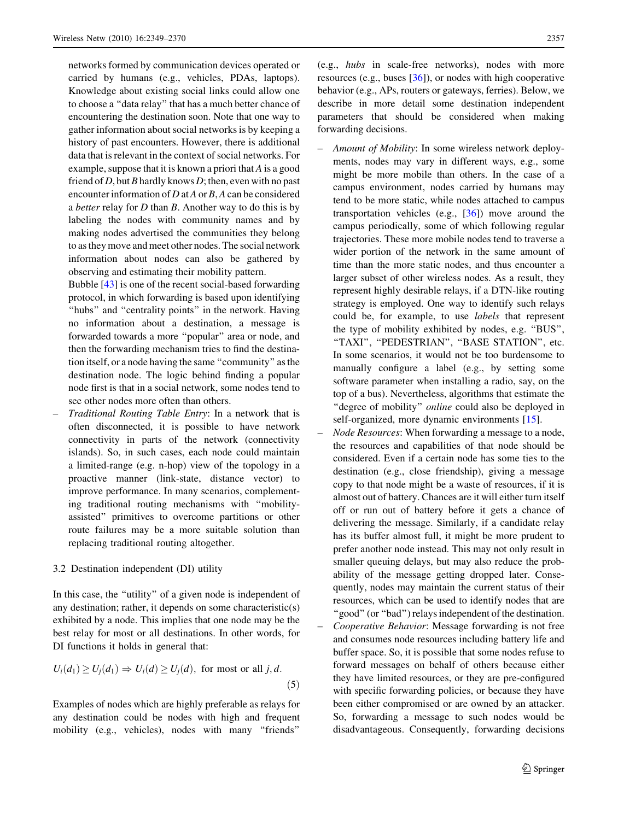networks formed by communication devices operated or carried by humans (e.g., vehicles, PDAs, laptops). Knowledge about existing social links could allow one to choose a ''data relay'' that has a much better chance of encountering the destination soon. Note that one way to gather information about social networks is by keeping a history of past encounters. However, there is additional data that is relevant in the context of social networks. For example, suppose that it is known a priori that *A* is a good friend of *D*, but*B* hardly knows *D*; then, even with no past encounter information of *D* at *A* or *B*, *A* can be considered a *better* relay for *D* than *B*. Another way to do this is by labeling the nodes with community names and by making nodes advertised the communities they belong to as they move and meet other nodes. The social network information about nodes can also be gathered by observing and estimating their mobility pattern.

Bubble [43] is one of the recent social-based forwarding protocol, in which forwarding is based upon identifying "hubs" and "centrality points" in the network. Having no information about a destination, a message is forwarded towards a more ''popular'' area or node, and then the forwarding mechanism tries to find the destination itself, or a node having the same ''community'' as the destination node. The logic behind finding a popular node first is that in a social network, some nodes tend to see other nodes more often than others.

– *Traditional Routing Table Entry*: In a network that is often disconnected, it is possible to have network connectivity in parts of the network (connectivity islands). So, in such cases, each node could maintain a limited-range (e.g. n-hop) view of the topology in a proactive manner (link-state, distance vector) to improve performance. In many scenarios, complementing traditional routing mechanisms with ''mobilityassisted'' primitives to overcome partitions or other route failures may be a more suitable solution than replacing traditional routing altogether.

## 3.2 Destination independent (DI) utility

In this case, the ''utility'' of a given node is independent of any destination; rather, it depends on some characteristic(s) exhibited by a node. This implies that one node may be the best relay for most or all destinations. In other words, for DI functions it holds in general that:

$$
U_i(d_1) \ge U_j(d_1) \Rightarrow U_i(d) \ge U_j(d), \text{ for most or all } j, d.
$$
\n<sup>(5)</sup>

Examples of nodes which are highly preferable as relays for any destination could be nodes with high and frequent mobility (e.g., vehicles), nodes with many ''friends''

(e.g., *hubs* in scale-free networks), nodes with more resources (e.g., buses [36]), or nodes with high cooperative behavior (e.g., APs, routers or gateways, ferries). Below, we describe in more detail some destination independent parameters that should be considered when making forwarding decisions.

- *Amount of Mobility*: In some wireless network deployments, nodes may vary in different ways, e.g., some might be more mobile than others. In the case of a campus environment, nodes carried by humans may tend to be more static, while nodes attached to campus transportation vehicles (e.g., [36]) move around the campus periodically, some of which following regular trajectories. These more mobile nodes tend to traverse a wider portion of the network in the same amount of time than the more static nodes, and thus encounter a larger subset of other wireless nodes. As a result, they represent highly desirable relays, if a DTN-like routing strategy is employed. One way to identify such relays could be, for example, to use *labels* that represent the type of mobility exhibited by nodes, e.g. ''BUS'', ''TAXI'', ''PEDESTRIAN'', ''BASE STATION'', etc. In some scenarios, it would not be too burdensome to manually configure a label (e.g., by setting some software parameter when installing a radio, say, on the top of a bus). Nevertheless, algorithms that estimate the ''degree of mobility'' *online* could also be deployed in self-organized, more dynamic environments [15].
- *Node Resources*: When forwarding a message to a node, the resources and capabilities of that node should be considered. Even if a certain node has some ties to the destination (e.g., close friendship), giving a message copy to that node might be a waste of resources, if it is almost out of battery. Chances are it will either turn itself off or run out of battery before it gets a chance of delivering the message. Similarly, if a candidate relay has its buffer almost full, it might be more prudent to prefer another node instead. This may not only result in smaller queuing delays, but may also reduce the probability of the message getting dropped later. Consequently, nodes may maintain the current status of their resources, which can be used to identify nodes that are ''good'' (or ''bad'') relays independent of the destination.
- *Cooperative Behavior*: Message forwarding is not free and consumes node resources including battery life and buffer space. So, it is possible that some nodes refuse to forward messages on behalf of others because either they have limited resources, or they are pre-configured with specific forwarding policies, or because they have been either compromised or are owned by an attacker. So, forwarding a message to such nodes would be disadvantageous. Consequently, forwarding decisions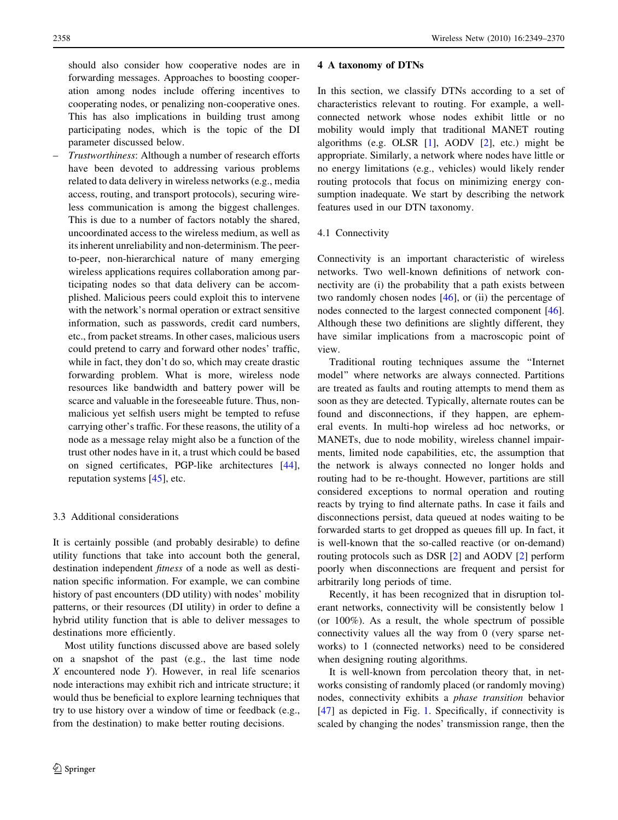should also consider how cooperative nodes are in forwarding messages. Approaches to boosting cooperation among nodes include offering incentives to cooperating nodes, or penalizing non-cooperative ones. This has also implications in building trust among participating nodes, which is the topic of the DI parameter discussed below.

– *Trustworthiness*: Although a number of research efforts have been devoted to addressing various problems related to data delivery in wireless networks (e.g., media access, routing, and transport protocols), securing wireless communication is among the biggest challenges. This is due to a number of factors notably the shared, uncoordinated access to the wireless medium, as well as its inherent unreliability and non-determinism. The peerto-peer, non-hierarchical nature of many emerging wireless applications requires collaboration among participating nodes so that data delivery can be accomplished. Malicious peers could exploit this to intervene with the network's normal operation or extract sensitive information, such as passwords, credit card numbers, etc., from packet streams. In other cases, malicious users could pretend to carry and forward other nodes' traffic, while in fact, they don't do so, which may create drastic forwarding problem. What is more, wireless node resources like bandwidth and battery power will be scarce and valuable in the foreseeable future. Thus, nonmalicious yet selfish users might be tempted to refuse carrying other's traffic. For these reasons, the utility of a node as a message relay might also be a function of the trust other nodes have in it, a trust which could be based on signed certificates, PGP-like architectures [44], reputation systems [45], etc.

#### 3.3 Additional considerations

It is certainly possible (and probably desirable) to define utility functions that take into account both the general, destination independent *fitness* of a node as well as destination specific information. For example, we can combine history of past encounters (DD utility) with nodes' mobility patterns, or their resources (DI utility) in order to define a hybrid utility function that is able to deliver messages to destinations more efficiently.

Most utility functions discussed above are based solely on a snapshot of the past (e.g., the last time node *X* encountered node *Y*). However, in real life scenarios node interactions may exhibit rich and intricate structure; it would thus be beneficial to explore learning techniques that try to use history over a window of time or feedback (e.g., from the destination) to make better routing decisions.

#### 4 A taxonomy of DTNs

In this section, we classify DTNs according to a set of characteristics relevant to routing. For example, a wellconnected network whose nodes exhibit little or no mobility would imply that traditional MANET routing algorithms (e.g. OLSR  $[1]$ , AODV  $[2]$ , etc.) might be appropriate. Similarly, a network where nodes have little or no energy limitations (e.g., vehicles) would likely render routing protocols that focus on minimizing energy consumption inadequate. We start by describing the network features used in our DTN taxonomy.

## 4.1 Connectivity

Connectivity is an important characteristic of wireless networks. Two well-known definitions of network connectivity are (i) the probability that a path exists between two randomly chosen nodes [46], or (ii) the percentage of nodes connected to the largest connected component [46]. Although these two definitions are slightly different, they have similar implications from a macroscopic point of view.

Traditional routing techniques assume the ''Internet model'' where networks are always connected. Partitions are treated as faults and routing attempts to mend them as soon as they are detected. Typically, alternate routes can be found and disconnections, if they happen, are ephemeral events. In multi-hop wireless ad hoc networks, or MANETs, due to node mobility, wireless channel impairments, limited node capabilities, etc, the assumption that the network is always connected no longer holds and routing had to be re-thought. However, partitions are still considered exceptions to normal operation and routing reacts by trying to find alternate paths. In case it fails and disconnections persist, data queued at nodes waiting to be forwarded starts to get dropped as queues fill up. In fact, it is well-known that the so-called reactive (or on-demand) routing protocols such as DSR [2] and AODV [2] perform poorly when disconnections are frequent and persist for arbitrarily long periods of time.

Recently, it has been recognized that in disruption tolerant networks, connectivity will be consistently below 1 (or 100%). As a result, the whole spectrum of possible connectivity values all the way from 0 (very sparse networks) to 1 (connected networks) need to be considered when designing routing algorithms.

It is well-known from percolation theory that, in networks consisting of randomly placed (or randomly moving) nodes, connectivity exhibits a *phase transition* behavior [47] as depicted in Fig. 1. Specifically, if connectivity is scaled by changing the nodes' transmission range, then the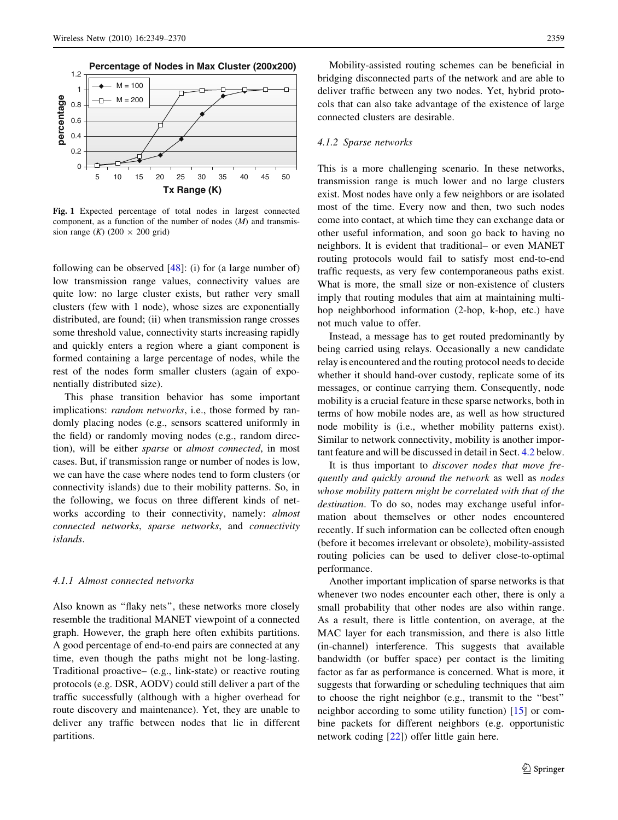

Fig. 1 Expected percentage of total nodes in largest connected component, as a function of the number of nodes (*M*) and transmission range (*K*) (200  $\times$  200 grid)

following can be observed  $[48]$ : (i) for (a large number of) low transmission range values, connectivity values are quite low: no large cluster exists, but rather very small clusters (few with 1 node), whose sizes are exponentially distributed, are found; (ii) when transmission range crosses some threshold value, connectivity starts increasing rapidly and quickly enters a region where a giant component is formed containing a large percentage of nodes, while the rest of the nodes form smaller clusters (again of exponentially distributed size).

This phase transition behavior has some important implications: *random networks*, i.e., those formed by randomly placing nodes (e.g., sensors scattered uniformly in the field) or randomly moving nodes (e.g., random direction), will be either *sparse* or *almost connected*, in most cases. But, if transmission range or number of nodes is low, we can have the case where nodes tend to form clusters (or connectivity islands) due to their mobility patterns. So, in the following, we focus on three different kinds of networks according to their connectivity, namely: *almost connected networks*, *sparse networks*, and *connectivity islands*.

# *4.1.1 Almost connected networks*

Also known as ''flaky nets'', these networks more closely resemble the traditional MANET viewpoint of a connected graph. However, the graph here often exhibits partitions. A good percentage of end-to-end pairs are connected at any time, even though the paths might not be long-lasting. Traditional proactive– (e.g., link-state) or reactive routing protocols (e.g. DSR, AODV) could still deliver a part of the traffic successfully (although with a higher overhead for route discovery and maintenance). Yet, they are unable to deliver any traffic between nodes that lie in different partitions.

Mobility-assisted routing schemes can be beneficial in bridging disconnected parts of the network and are able to deliver traffic between any two nodes. Yet, hybrid protocols that can also take advantage of the existence of large connected clusters are desirable.

#### *4.1.2 Sparse networks*

This is a more challenging scenario. In these networks, transmission range is much lower and no large clusters exist. Most nodes have only a few neighbors or are isolated most of the time. Every now and then, two such nodes come into contact, at which time they can exchange data or other useful information, and soon go back to having no neighbors. It is evident that traditional– or even MANET routing protocols would fail to satisfy most end-to-end traffic requests, as very few contemporaneous paths exist. What is more, the small size or non-existence of clusters imply that routing modules that aim at maintaining multihop neighborhood information (2-hop, k-hop, etc.) have not much value to offer.

Instead, a message has to get routed predominantly by being carried using relays. Occasionally a new candidate relay is encountered and the routing protocol needs to decide whether it should hand-over custody, replicate some of its messages, or continue carrying them. Consequently, node mobility is a crucial feature in these sparse networks, both in terms of how mobile nodes are, as well as how structured node mobility is (i.e., whether mobility patterns exist). Similar to network connectivity, mobility is another important feature and will be discussed in detail in Sect. 4.2 below.

It is thus important to *discover nodes that move frequently and quickly around the network* as well as *nodes whose mobility pattern might be correlated with that of the destination*. To do so, nodes may exchange useful information about themselves or other nodes encountered recently. If such information can be collected often enough (before it becomes irrelevant or obsolete), mobility-assisted routing policies can be used to deliver close-to-optimal performance.

Another important implication of sparse networks is that whenever two nodes encounter each other, there is only a small probability that other nodes are also within range. As a result, there is little contention, on average, at the MAC layer for each transmission, and there is also little (in-channel) interference. This suggests that available bandwidth (or buffer space) per contact is the limiting factor as far as performance is concerned. What is more, it suggests that forwarding or scheduling techniques that aim to choose the right neighbor (e.g., transmit to the ''best'' neighbor according to some utility function) [15] or combine packets for different neighbors (e.g. opportunistic network coding [22]) offer little gain here.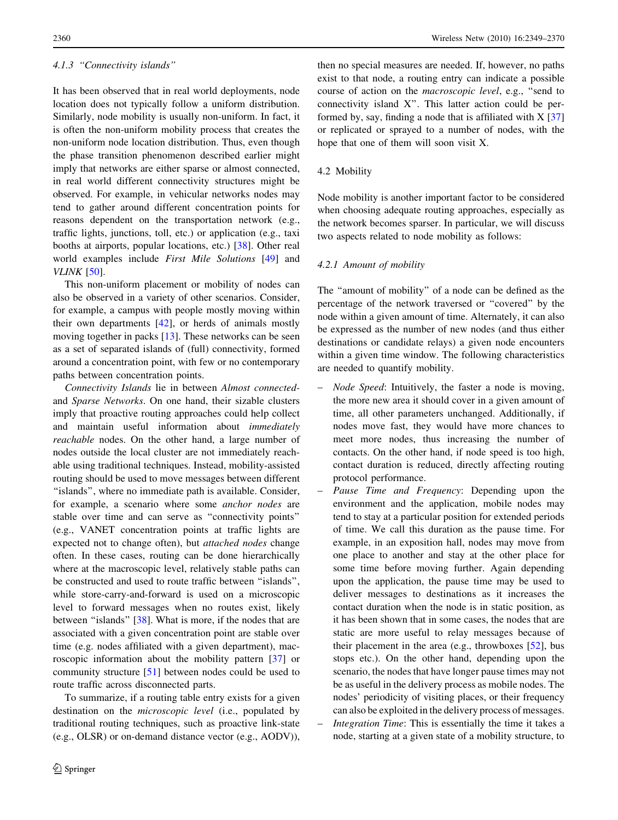## *4.1.3 ''Connectivity islands''*

It has been observed that in real world deployments, node location does not typically follow a uniform distribution. Similarly, node mobility is usually non-uniform. In fact, it is often the non-uniform mobility process that creates the non-uniform node location distribution. Thus, even though the phase transition phenomenon described earlier might imply that networks are either sparse or almost connected, in real world different connectivity structures might be observed. For example, in vehicular networks nodes may tend to gather around different concentration points for reasons dependent on the transportation network (e.g., traffic lights, junctions, toll, etc.) or application (e.g., taxi booths at airports, popular locations, etc.) [38]. Other real world examples include *First Mile Solutions* [49] and *VLINK* [50].

This non-uniform placement or mobility of nodes can also be observed in a variety of other scenarios. Consider, for example, a campus with people mostly moving within their own departments [42], or herds of animals mostly moving together in packs [13]. These networks can be seen as a set of separated islands of (full) connectivity, formed around a concentration point, with few or no contemporary paths between concentration points.

*Connectivity Islands* lie in between *Almost connected*and *Sparse Networks*. On one hand, their sizable clusters imply that proactive routing approaches could help collect and maintain useful information about *immediately reachable* nodes. On the other hand, a large number of nodes outside the local cluster are not immediately reachable using traditional techniques. Instead, mobility-assisted routing should be used to move messages between different "islands", where no immediate path is available. Consider, for example, a scenario where some *anchor nodes* are stable over time and can serve as ''connectivity points'' (e.g., VANET concentration points at traffic lights are expected not to change often), but *attached nodes* change often. In these cases, routing can be done hierarchically where at the macroscopic level, relatively stable paths can be constructed and used to route traffic between ''islands'', while store-carry-and-forward is used on a microscopic level to forward messages when no routes exist, likely between "islands" [38]. What is more, if the nodes that are associated with a given concentration point are stable over time (e.g. nodes affiliated with a given department), macroscopic information about the mobility pattern [37] or community structure [51] between nodes could be used to route traffic across disconnected parts.

To summarize, if a routing table entry exists for a given destination on the *microscopic level* (i.e., populated by traditional routing techniques, such as proactive link-state (e.g., OLSR) or on-demand distance vector (e.g., AODV)),

then no special measures are needed. If, however, no paths exist to that node, a routing entry can indicate a possible course of action on the *macroscopic level*, e.g., ''send to connectivity island X''. This latter action could be performed by, say, finding a node that is affiliated with  $X$  [37] or replicated or sprayed to a number of nodes, with the hope that one of them will soon visit X.

#### 4.2 Mobility

Node mobility is another important factor to be considered when choosing adequate routing approaches, especially as the network becomes sparser. In particular, we will discuss two aspects related to node mobility as follows:

## *4.2.1 Amount of mobility*

The ''amount of mobility'' of a node can be defined as the percentage of the network traversed or ''covered'' by the node within a given amount of time. Alternately, it can also be expressed as the number of new nodes (and thus either destinations or candidate relays) a given node encounters within a given time window. The following characteristics are needed to quantify mobility.

- *Node Speed*: Intuitively, the faster a node is moving, the more new area it should cover in a given amount of time, all other parameters unchanged. Additionally, if nodes move fast, they would have more chances to meet more nodes, thus increasing the number of contacts. On the other hand, if node speed is too high, contact duration is reduced, directly affecting routing protocol performance.
- *Pause Time and Frequency*: Depending upon the environment and the application, mobile nodes may tend to stay at a particular position for extended periods of time. We call this duration as the pause time. For example, in an exposition hall, nodes may move from one place to another and stay at the other place for some time before moving further. Again depending upon the application, the pause time may be used to deliver messages to destinations as it increases the contact duration when the node is in static position, as it has been shown that in some cases, the nodes that are static are more useful to relay messages because of their placement in the area (e.g., throwboxes [52], bus stops etc.). On the other hand, depending upon the scenario, the nodes that have longer pause times may not be as useful in the delivery process as mobile nodes. The nodes' periodicity of visiting places, or their frequency can also be exploited in the delivery process of messages.
- *Integration Time*: This is essentially the time it takes a node, starting at a given state of a mobility structure, to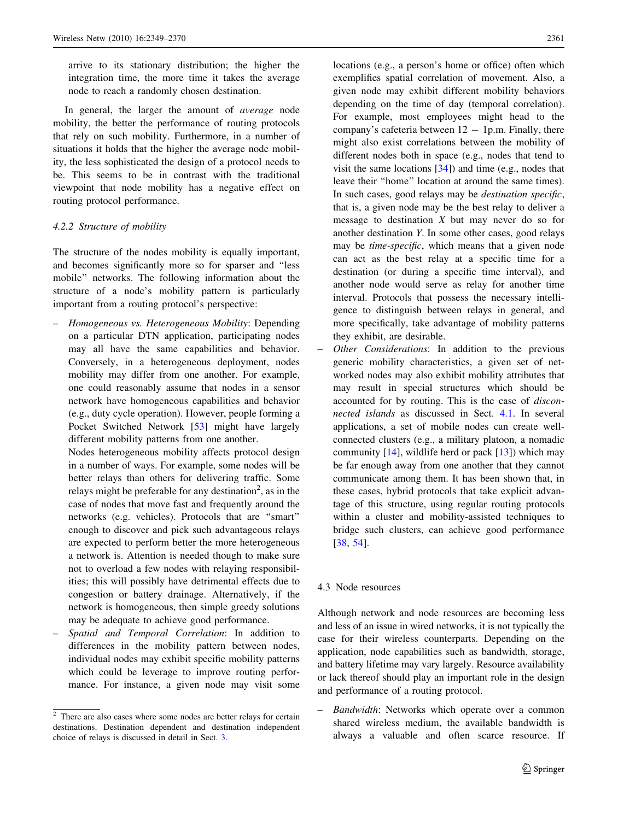arrive to its stationary distribution; the higher the integration time, the more time it takes the average node to reach a randomly chosen destination.

In general, the larger the amount of *average* node mobility, the better the performance of routing protocols that rely on such mobility. Furthermore, in a number of situations it holds that the higher the average node mobility, the less sophisticated the design of a protocol needs to be. This seems to be in contrast with the traditional viewpoint that node mobility has a negative effect on routing protocol performance.

## *4.2.2 Structure of mobility*

The structure of the nodes mobility is equally important, and becomes significantly more so for sparser and ''less mobile'' networks. The following information about the structure of a node's mobility pattern is particularly important from a routing protocol's perspective:

– *Homogeneous vs. Heterogeneous Mobility*: Depending on a particular DTN application, participating nodes may all have the same capabilities and behavior. Conversely, in a heterogeneous deployment, nodes mobility may differ from one another. For example, one could reasonably assume that nodes in a sensor network have homogeneous capabilities and behavior (e.g., duty cycle operation). However, people forming a Pocket Switched Network [53] might have largely different mobility patterns from one another.

Nodes heterogeneous mobility affects protocol design in a number of ways. For example, some nodes will be better relays than others for delivering traffic. Some relays might be preferable for any destination<sup>2</sup>, as in the case of nodes that move fast and frequently around the networks (e.g. vehicles). Protocols that are ''smart'' enough to discover and pick such advantageous relays are expected to perform better the more heterogeneous a network is. Attention is needed though to make sure not to overload a few nodes with relaying responsibilities; this will possibly have detrimental effects due to congestion or battery drainage. Alternatively, if the network is homogeneous, then simple greedy solutions may be adequate to achieve good performance.

– *Spatial and Temporal Correlation*: In addition to differences in the mobility pattern between nodes, individual nodes may exhibit specific mobility patterns which could be leverage to improve routing performance. For instance, a given node may visit some

locations (e.g., a person's home or office) often which exemplifies spatial correlation of movement. Also, a given node may exhibit different mobility behaviors depending on the time of day (temporal correlation). For example, most employees might head to the company's cafeteria between  $12 - 1$ p.m. Finally, there might also exist correlations between the mobility of different nodes both in space (e.g., nodes that tend to visit the same locations  $[34]$ ) and time (e.g., nodes that leave their ''home'' location at around the same times). In such cases, good relays may be *destination specific*, that is, a given node may be the best relay to deliver a message to destination *X* but may never do so for another destination *Y*. In some other cases, good relays may be *time-specific*, which means that a given node can act as the best relay at a specific time for a destination (or during a specific time interval), and another node would serve as relay for another time interval. Protocols that possess the necessary intelligence to distinguish between relays in general, and more specifically, take advantage of mobility patterns they exhibit, are desirable.

– *Other Considerations*: In addition to the previous generic mobility characteristics, a given set of networked nodes may also exhibit mobility attributes that may result in special structures which should be accounted for by routing. This is the case of *disconnected islands* as discussed in Sect. 4.1. In several applications, a set of mobile nodes can create wellconnected clusters (e.g., a military platoon, a nomadic community  $[14]$ , wildlife herd or pack  $[13]$ ) which may be far enough away from one another that they cannot communicate among them. It has been shown that, in these cases, hybrid protocols that take explicit advantage of this structure, using regular routing protocols within a cluster and mobility-assisted techniques to bridge such clusters, can achieve good performance [38, 54].

## 4.3 Node resources

Although network and node resources are becoming less and less of an issue in wired networks, it is not typically the case for their wireless counterparts. Depending on the application, node capabilities such as bandwidth, storage, and battery lifetime may vary largely. Resource availability or lack thereof should play an important role in the design and performance of a routing protocol.

– *Bandwidth*: Networks which operate over a common shared wireless medium, the available bandwidth is always a valuable and often scarce resource. If

<sup>&</sup>lt;sup>2</sup> There are also cases where some nodes are better relays for certain destinations. Destination dependent and destination independent choice of relays is discussed in detail in Sect. 3.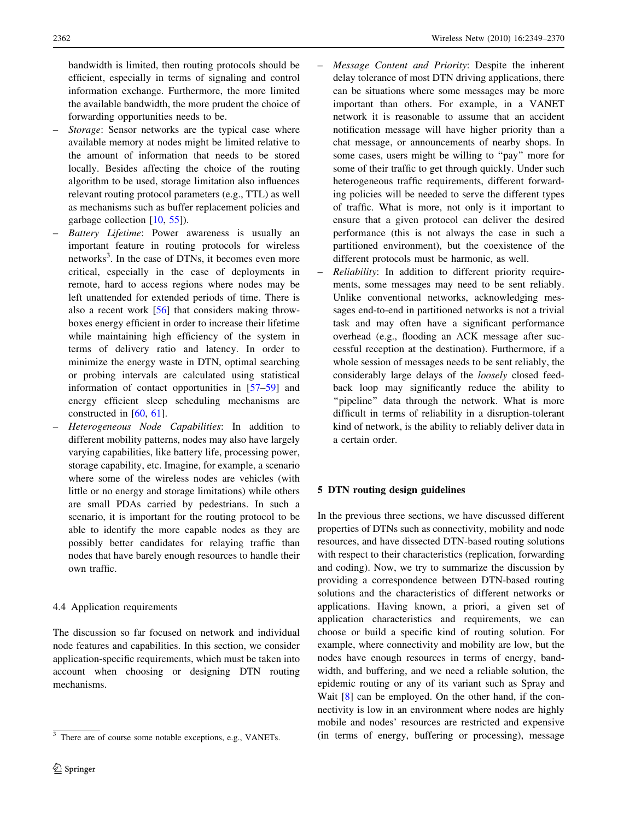bandwidth is limited, then routing protocols should be efficient, especially in terms of signaling and control information exchange. Furthermore, the more limited the available bandwidth, the more prudent the choice of forwarding opportunities needs to be.

- *Storage*: Sensor networks are the typical case where available memory at nodes might be limited relative to the amount of information that needs to be stored locally. Besides affecting the choice of the routing algorithm to be used, storage limitation also influences relevant routing protocol parameters (e.g., TTL) as well as mechanisms such as buffer replacement policies and garbage collection [10, 55]).
- *Battery Lifetime*: Power awareness is usually an important feature in routing protocols for wireless networks<sup>3</sup>. In the case of DTNs, it becomes even more critical, especially in the case of deployments in remote, hard to access regions where nodes may be left unattended for extended periods of time. There is also a recent work [56] that considers making throwboxes energy efficient in order to increase their lifetime while maintaining high efficiency of the system in terms of delivery ratio and latency. In order to minimize the energy waste in DTN, optimal searching or probing intervals are calculated using statistical information of contact opportunities in [57–59] and energy efficient sleep scheduling mechanisms are constructed in [60, 61].
- *Heterogeneous Node Capabilities*: In addition to different mobility patterns, nodes may also have largely varying capabilities, like battery life, processing power, storage capability, etc. Imagine, for example, a scenario where some of the wireless nodes are vehicles (with little or no energy and storage limitations) while others are small PDAs carried by pedestrians. In such a scenario, it is important for the routing protocol to be able to identify the more capable nodes as they are possibly better candidates for relaying traffic than nodes that have barely enough resources to handle their own traffic.

# 4.4 Application requirements

The discussion so far focused on network and individual node features and capabilities. In this section, we consider application-specific requirements, which must be taken into account when choosing or designing DTN routing mechanisms.

- *Message Content and Priority*: Despite the inherent delay tolerance of most DTN driving applications, there can be situations where some messages may be more important than others. For example, in a VANET network it is reasonable to assume that an accident notification message will have higher priority than a chat message, or announcements of nearby shops. In some cases, users might be willing to "pay" more for some of their traffic to get through quickly. Under such heterogeneous traffic requirements, different forwarding policies will be needed to serve the different types of traffic. What is more, not only is it important to ensure that a given protocol can deliver the desired performance (this is not always the case in such a partitioned environment), but the coexistence of the different protocols must be harmonic, as well.
- *Reliability*: In addition to different priority requirements, some messages may need to be sent reliably. Unlike conventional networks, acknowledging messages end-to-end in partitioned networks is not a trivial task and may often have a significant performance overhead (e.g., flooding an ACK message after successful reception at the destination). Furthermore, if a whole session of messages needs to be sent reliably, the considerably large delays of the *loosely* closed feedback loop may significantly reduce the ability to "pipeline" data through the network. What is more difficult in terms of reliability in a disruption-tolerant kind of network, is the ability to reliably deliver data in a certain order.

## 5 DTN routing design guidelines

In the previous three sections, we have discussed different properties of DTNs such as connectivity, mobility and node resources, and have dissected DTN-based routing solutions with respect to their characteristics (replication, forwarding and coding). Now, we try to summarize the discussion by providing a correspondence between DTN-based routing solutions and the characteristics of different networks or applications. Having known, a priori, a given set of application characteristics and requirements, we can choose or build a specific kind of routing solution. For example, where connectivity and mobility are low, but the nodes have enough resources in terms of energy, bandwidth, and buffering, and we need a reliable solution, the epidemic routing or any of its variant such as Spray and Wait [8] can be employed. On the other hand, if the connectivity is low in an environment where nodes are highly mobile and nodes' resources are restricted and expensive <sup>3</sup> There are of course some notable exceptions, e.g., VANETs. (in terms of energy, buffering or processing), message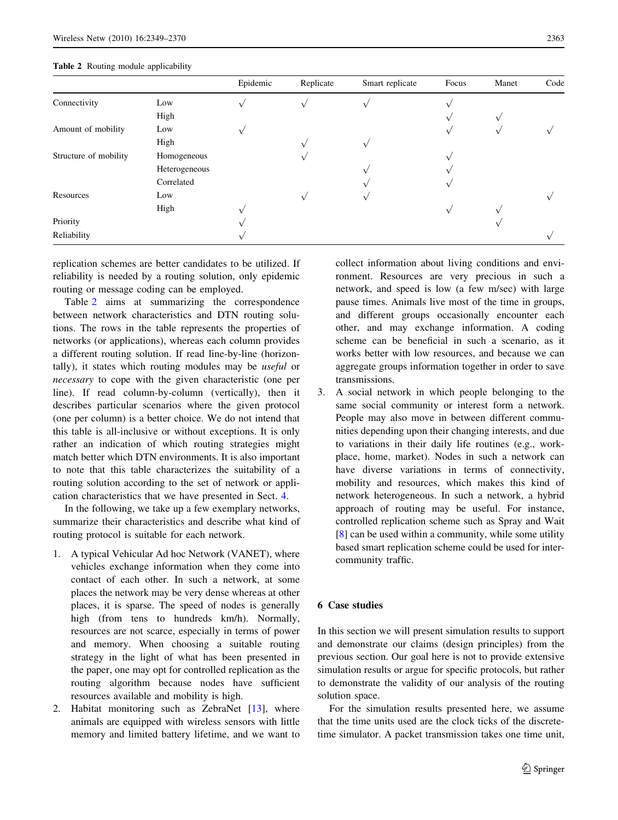| <b>Table 2</b> Routing modern applicability |               |          |           |                 |       |       |      |  |  |
|---------------------------------------------|---------------|----------|-----------|-----------------|-------|-------|------|--|--|
|                                             |               | Epidemic | Replicate | Smart replicate | Focus | Manet | Code |  |  |
| Connectivity                                | Low           |          |           |                 |       |       |      |  |  |
|                                             | High          |          |           |                 |       |       |      |  |  |
| Amount of mobility                          | Low           |          |           |                 |       |       |      |  |  |
|                                             | High          |          |           |                 |       |       |      |  |  |
| Structure of mobility                       | Homogeneous   |          |           |                 |       |       |      |  |  |
|                                             | Heterogeneous |          |           |                 |       |       |      |  |  |

Correlated  $\sqrt{ }$ Resources Low  $\sqrt{ }$ 

Reliability  $\sqrt{ }$ 

Priority  $\sqrt{ }$ 

High  $\sqrt{ }$   $\sqrt{ }$ 

replication schemes are better candidates to be utilized. If reliability is needed by a routing solution, only epidemic routing or message coding can be employed.

Table 2 aims at summarizing the correspondence between network characteristics and DTN routing solutions. The rows in the table represents the properties of networks (or applications), whereas each column provides a different routing solution. If read line-by-line (horizontally), it states which routing modules may be *useful* or *necessary* to cope with the given characteristic (one per line). If read column-by-column (vertically), then it describes particular scenarios where the given protocol (one per column) is a better choice. We do not intend that this table is all-inclusive or without exceptions. It is only rather an indication of which routing strategies might match better which DTN environments. It is also important to note that this table characterizes the suitability of a routing solution according to the set of network or application characteristics that we have presented in Sect. 4.

In the following, we take up a few exemplary networks, summarize their characteristics and describe what kind of routing protocol is suitable for each network.

- 1. A typical Vehicular Ad hoc Network (VANET), where vehicles exchange information when they come into contact of each other. In such a network, at some places the network may be very dense whereas at other places, it is sparse. The speed of nodes is generally high (from tens to hundreds km/h). Normally, resources are not scarce, especially in terms of power and memory. When choosing a suitable routing strategy in the light of what has been presented in the paper, one may opt for controlled replication as the routing algorithm because nodes have sufficient resources available and mobility is high.
- 2. Habitat monitoring such as ZebraNet [13], where animals are equipped with wireless sensors with little memory and limited battery lifetime, and we want to

collect information about living conditions and environment. Resources are very precious in such a network, and speed is low (a few m/sec) with large pause times. Animals live most of the time in groups, and different groups occasionally encounter each other, and may exchange information. A coding scheme can be beneficial in such a scenario, as it works better with low resources, and because we can aggregate groups information together in order to save transmissions.

3. A social network in which people belonging to the same social community or interest form a network. People may also move in between different communities depending upon their changing interests, and due to variations in their daily life routines (e.g., workplace, home, market). Nodes in such a network can have diverse variations in terms of connectivity, mobility and resources, which makes this kind of network heterogeneous. In such a network, a hybrid approach of routing may be useful. For instance, controlled replication scheme such as Spray and Wait [8] can be used within a community, while some utility based smart replication scheme could be used for intercommunity traffic.

# 6 Case studies

In this section we will present simulation results to support and demonstrate our claims (design principles) from the previous section. Our goal here is not to provide extensive simulation results or argue for specific protocols, but rather to demonstrate the validity of our analysis of the routing solution space.

For the simulation results presented here, we assume that the time units used are the clock ticks of the discretetime simulator. A packet transmission takes one time unit,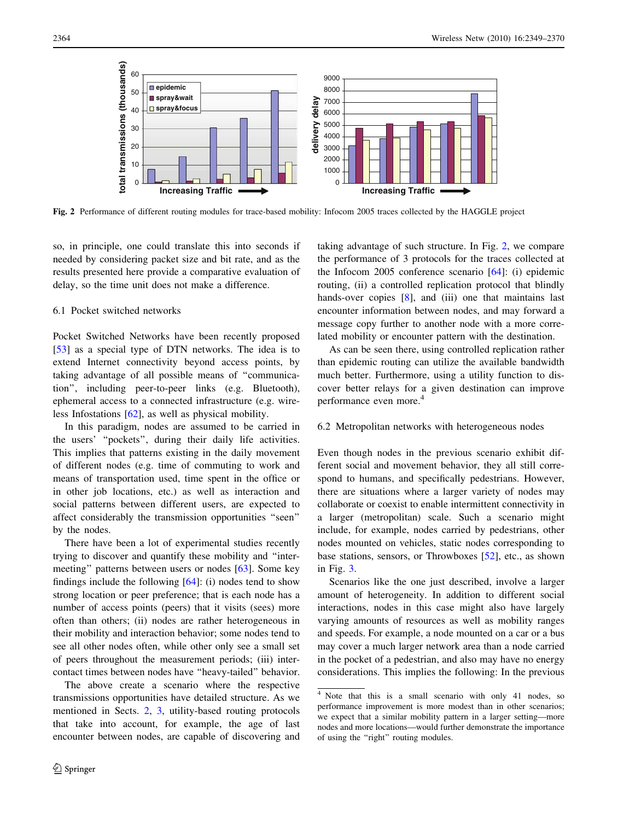

Fig. 2 Performance of different routing modules for trace-based mobility: Infocom 2005 traces collected by the HAGGLE project

so, in principle, one could translate this into seconds if needed by considering packet size and bit rate, and as the results presented here provide a comparative evaluation of delay, so the time unit does not make a difference.

# 6.1 Pocket switched networks

Pocket Switched Networks have been recently proposed [53] as a special type of DTN networks. The idea is to extend Internet connectivity beyond access points, by taking advantage of all possible means of ''communication'', including peer-to-peer links (e.g. Bluetooth), ephemeral access to a connected infrastructure (e.g. wireless Infostations [62], as well as physical mobility.

In this paradigm, nodes are assumed to be carried in the users' ''pockets'', during their daily life activities. This implies that patterns existing in the daily movement of different nodes (e.g. time of commuting to work and means of transportation used, time spent in the office or in other job locations, etc.) as well as interaction and social patterns between different users, are expected to affect considerably the transmission opportunities ''seen'' by the nodes.

There have been a lot of experimental studies recently trying to discover and quantify these mobility and ''intermeeting'' patterns between users or nodes [63]. Some key findings include the following  $[64]$ : (i) nodes tend to show strong location or peer preference; that is each node has a number of access points (peers) that it visits (sees) more often than others; (ii) nodes are rather heterogeneous in their mobility and interaction behavior; some nodes tend to see all other nodes often, while other only see a small set of peers throughout the measurement periods; (iii) intercontact times between nodes have ''heavy-tailed'' behavior.

The above create a scenario where the respective transmissions opportunities have detailed structure. As we mentioned in Sects. 2, 3, utility-based routing protocols that take into account, for example, the age of last encounter between nodes, are capable of discovering and taking advantage of such structure. In Fig. 2, we compare the performance of 3 protocols for the traces collected at the Infocom 2005 conference scenario [64]: (i) epidemic routing, (ii) a controlled replication protocol that blindly hands-over copies [8], and (iii) one that maintains last encounter information between nodes, and may forward a message copy further to another node with a more correlated mobility or encounter pattern with the destination.

As can be seen there, using controlled replication rather than epidemic routing can utilize the available bandwidth much better. Furthermore, using a utility function to discover better relays for a given destination can improve performance even more.<sup>4</sup>

#### 6.2 Metropolitan networks with heterogeneous nodes

Even though nodes in the previous scenario exhibit different social and movement behavior, they all still correspond to humans, and specifically pedestrians. However, there are situations where a larger variety of nodes may collaborate or coexist to enable intermittent connectivity in a larger (metropolitan) scale. Such a scenario might include, for example, nodes carried by pedestrians, other nodes mounted on vehicles, static nodes corresponding to base stations, sensors, or Throwboxes [52], etc., as shown in Fig. 3.

Scenarios like the one just described, involve a larger amount of heterogeneity. In addition to different social interactions, nodes in this case might also have largely varying amounts of resources as well as mobility ranges and speeds. For example, a node mounted on a car or a bus may cover a much larger network area than a node carried in the pocket of a pedestrian, and also may have no energy considerations. This implies the following: In the previous

 $4$  Note that this is a small scenario with only 41 nodes, so performance improvement is more modest than in other scenarios; we expect that a similar mobility pattern in a larger setting—more nodes and more locations—would further demonstrate the importance of using the ''right'' routing modules.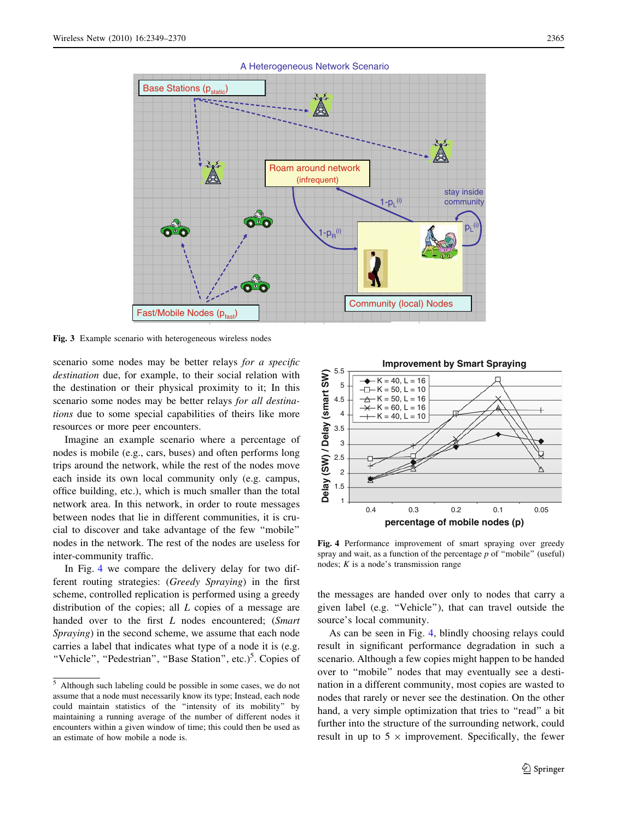

A Heterogeneous Network Scenario

Fig. 3 Example scenario with heterogeneous wireless nodes

scenario some nodes may be better relays *for a specific destination* due, for example, to their social relation with the destination or their physical proximity to it; In this scenario some nodes may be better relays *for all destinations* due to some special capabilities of theirs like more resources or more peer encounters.

Imagine an example scenario where a percentage of nodes is mobile (e.g., cars, buses) and often performs long trips around the network, while the rest of the nodes move each inside its own local community only (e.g. campus, office building, etc.), which is much smaller than the total network area. In this network, in order to route messages between nodes that lie in different communities, it is crucial to discover and take advantage of the few ''mobile'' nodes in the network. The rest of the nodes are useless for inter-community traffic.

In Fig. 4 we compare the delivery delay for two different routing strategies: (*Greedy Spraying*) in the first scheme, controlled replication is performed using a greedy distribution of the copies; all *L* copies of a message are handed over to the first *L* nodes encountered; (*Smart Spraying*) in the second scheme, we assume that each node carries a label that indicates what type of a node it is (e.g. "Vehicle", "Pedestrian", "Base Station", etc.)<sup>5</sup>. Copies of



Fig. 4 Performance improvement of smart spraying over greedy spray and wait, as a function of the percentage *p* of ''mobile'' (useful) nodes; *K* is a node's transmission range

the messages are handed over only to nodes that carry a given label (e.g. ''Vehicle''), that can travel outside the source's local community.

As can be seen in Fig. 4, blindly choosing relays could result in significant performance degradation in such a scenario. Although a few copies might happen to be handed over to ''mobile'' nodes that may eventually see a destination in a different community, most copies are wasted to nodes that rarely or never see the destination. On the other hand, a very simple optimization that tries to "read" a bit further into the structure of the surrounding network, could result in up to  $5 \times$  improvement. Specifically, the fewer

<sup>5</sup> Although such labeling could be possible in some cases, we do not assume that a node must necessarily know its type; Instead, each node could maintain statistics of the ''intensity of its mobility'' by maintaining a running average of the number of different nodes it encounters within a given window of time; this could then be used as an estimate of how mobile a node is.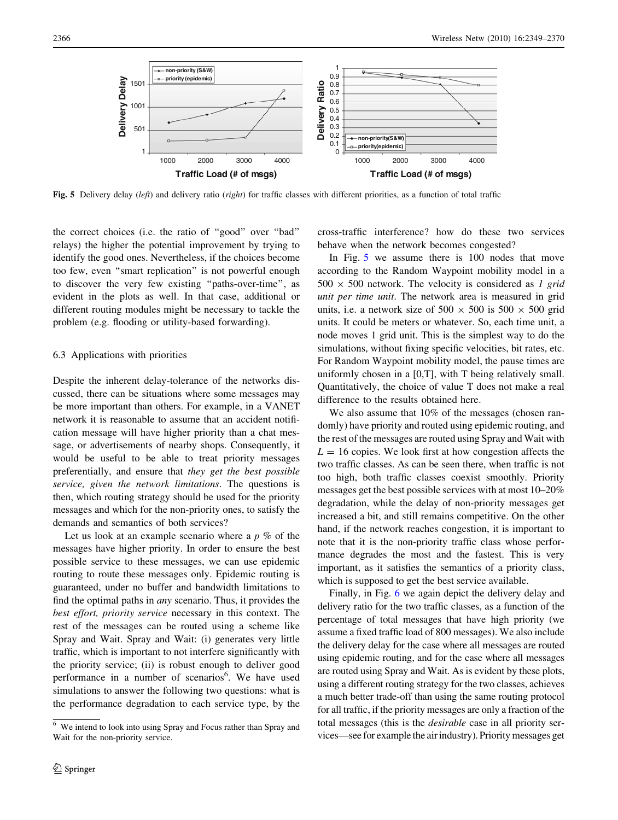

Fig. 5 Delivery delay (*left*) and delivery ratio (*right*) for traffic classes with different priorities, as a function of total traffic

the correct choices (i.e. the ratio of ''good'' over ''bad'' relays) the higher the potential improvement by trying to identify the good ones. Nevertheless, if the choices become too few, even ''smart replication'' is not powerful enough to discover the very few existing ''paths-over-time'', as evident in the plots as well. In that case, additional or different routing modules might be necessary to tackle the problem (e.g. flooding or utility-based forwarding).

## 6.3 Applications with priorities

Despite the inherent delay-tolerance of the networks discussed, there can be situations where some messages may be more important than others. For example, in a VANET network it is reasonable to assume that an accident notification message will have higher priority than a chat message, or advertisements of nearby shops. Consequently, it would be useful to be able to treat priority messages preferentially, and ensure that *they get the best possible service, given the network limitations*. The questions is then, which routing strategy should be used for the priority messages and which for the non-priority ones, to satisfy the demands and semantics of both services?

Let us look at an example scenario where a *p* % of the messages have higher priority. In order to ensure the best possible service to these messages, we can use epidemic routing to route these messages only. Epidemic routing is guaranteed, under no buffer and bandwidth limitations to find the optimal paths in *any* scenario. Thus, it provides the *best effort, priority service* necessary in this context. The rest of the messages can be routed using a scheme like Spray and Wait. Spray and Wait: (i) generates very little traffic, which is important to not interfere significantly with the priority service; (ii) is robust enough to deliver good performance in a number of scenarios<sup>6</sup>. We have used simulations to answer the following two questions: what is the performance degradation to each service type, by the cross-traffic interference? how do these two services behave when the network becomes congested?

In Fig. 5 we assume there is 100 nodes that move according to the Random Waypoint mobility model in a  $500 \times 500$  network. The velocity is considered as *1 grid unit per time unit*. The network area is measured in grid units, i.e. a network size of  $500 \times 500$  is  $500 \times 500$  grid units. It could be meters or whatever. So, each time unit, a node moves 1 grid unit. This is the simplest way to do the simulations, without fixing specific velocities, bit rates, etc. For Random Waypoint mobility model, the pause times are uniformly chosen in a [0,T], with T being relatively small. Quantitatively, the choice of value T does not make a real difference to the results obtained here.

We also assume that 10% of the messages (chosen randomly) have priority and routed using epidemic routing, and the rest of the messages are routed using Spray and Wait with  $L = 16$  copies. We look first at how congestion affects the two traffic classes. As can be seen there, when traffic is not too high, both traffic classes coexist smoothly. Priority messages get the best possible services with at most 10–20% degradation, while the delay of non-priority messages get increased a bit, and still remains competitive. On the other hand, if the network reaches congestion, it is important to note that it is the non-priority traffic class whose performance degrades the most and the fastest. This is very important, as it satisfies the semantics of a priority class, which is supposed to get the best service available.

Finally, in Fig. 6 we again depict the delivery delay and delivery ratio for the two traffic classes, as a function of the percentage of total messages that have high priority (we assume a fixed traffic load of 800 messages). We also include the delivery delay for the case where all messages are routed using epidemic routing, and for the case where all messages are routed using Spray and Wait. As is evident by these plots, using a different routing strategy for the two classes, achieves a much better trade-off than using the same routing protocol for all traffic, if the priority messages are only a fraction of the total messages (this is the *desirable* case in all priority services—see for example the air industry). Priority messages get

We intend to look into using Spray and Focus rather than Spray and Wait for the non-priority service.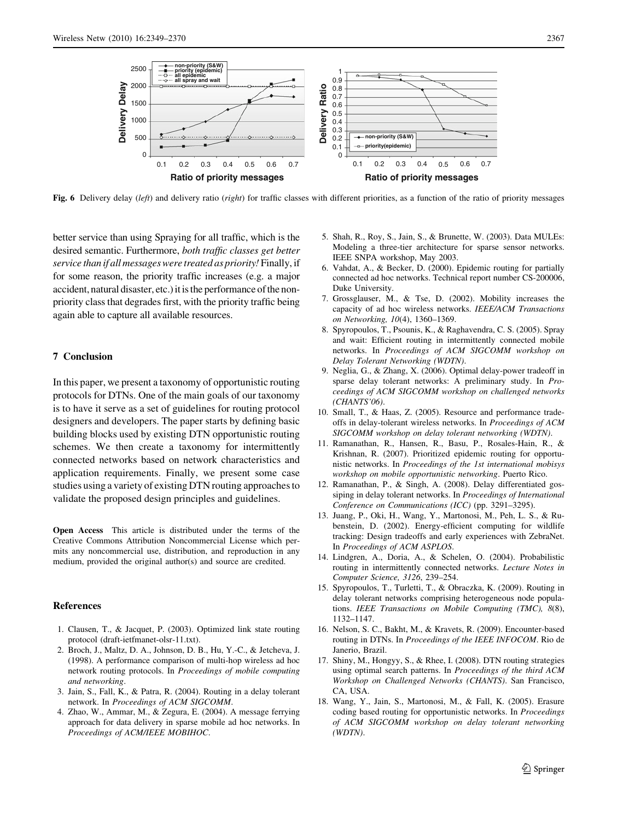

Fig. 6 Delivery delay (*left*) and delivery ratio (*right*) for traffic classes with different priorities, as a function of the ratio of priority messages

better service than using Spraying for all traffic, which is the desired semantic. Furthermore, *both traffic classes get better service than if all messages were treated as priority!* Finally, if for some reason, the priority traffic increases (e.g. a major accident, natural disaster, etc.) it is the performance of the nonpriority class that degrades first, with the priority traffic being again able to capture all available resources.

# 7 Conclusion

In this paper, we present a taxonomy of opportunistic routing protocols for DTNs. One of the main goals of our taxonomy is to have it serve as a set of guidelines for routing protocol designers and developers. The paper starts by defining basic building blocks used by existing DTN opportunistic routing schemes. We then create a taxonomy for intermittently connected networks based on network characteristics and application requirements. Finally, we present some case studies using a variety of existing DTN routing approaches to validate the proposed design principles and guidelines.

Open Access This article is distributed under the terms of the Creative Commons Attribution Noncommercial License which permits any noncommercial use, distribution, and reproduction in any medium, provided the original author(s) and source are credited.

#### References

- 1. Clausen, T., & Jacquet, P. (2003). Optimized link state routing protocol (draft-ietfmanet-olsr-11.txt).
- 2. Broch, J., Maltz, D. A., Johnson, D. B., Hu, Y.-C., & Jetcheva, J. (1998). A performance comparison of multi-hop wireless ad hoc network routing protocols. In *Proceedings of mobile computing and networking*.
- 3. Jain, S., Fall, K., & Patra, R. (2004). Routing in a delay tolerant network. In *Proceedings of ACM SIGCOMM*.
- 4. Zhao, W., Ammar, M., & Zegura, E. (2004). A message ferrying approach for data delivery in sparse mobile ad hoc networks. In *Proceedings of ACM/IEEE MOBIHOC*.
- 5. Shah, R., Roy, S., Jain, S., & Brunette, W. (2003). Data MULEs: Modeling a three-tier architecture for sparse sensor networks. IEEE SNPA workshop, May 2003.
- 6. Vahdat, A., & Becker, D. (2000). Epidemic routing for partially connected ad hoc networks. Technical report number CS-200006, Duke University.
- 7. Grossglauser, M., & Tse, D. (2002). Mobility increases the capacity of ad hoc wireless networks. *IEEE/ACM Transactions on Networking, 10*(4), 1360–1369.
- 8. Spyropoulos, T., Psounis, K., & Raghavendra, C. S. (2005). Spray and wait: Efficient routing in intermittently connected mobile networks. In *Proceedings of ACM SIGCOMM workshop on Delay Tolerant Networking (WDTN)*.
- 9. Neglia, G., & Zhang, X. (2006). Optimal delay-power tradeoff in sparse delay tolerant networks: A preliminary study. In *Proceedings of ACM SIGCOMM workshop on challenged networks (CHANTS'06)*.
- 10. Small, T., & Haas, Z. (2005). Resource and performance tradeoffs in delay-tolerant wireless networks. In *Proceedings of ACM SIGCOMM workshop on delay tolerant networking (WDTN)*.
- 11. Ramanathan, R., Hansen, R., Basu, P., Rosales-Hain, R., & Krishnan, R. (2007). Prioritized epidemic routing for opportunistic networks. In *Proceedings of the 1st international mobisys workshop on mobile opportunistic networking*. Puerto Rico.
- 12. Ramanathan, P., & Singh, A. (2008). Delay differentiated gossiping in delay tolerant networks. In *Proceedings of International Conference on Communications (ICC)* (pp. 3291–3295).
- 13. Juang, P., Oki, H., Wang, Y., Martonosi, M., Peh, L. S., & Rubenstein, D. (2002). Energy-efficient computing for wildlife tracking: Design tradeoffs and early experiences with ZebraNet. In *Proceedings of ACM ASPLOS*.
- 14. Lindgren, A., Doria, A., & Schelen, O. (2004). Probabilistic routing in intermittently connected networks. *Lecture Notes in Computer Science, 3126*, 239–254.
- 15. Spyropoulos, T., Turletti, T., & Obraczka, K. (2009). Routing in delay tolerant networks comprising heterogeneous node populations. *IEEE Transactions on Mobile Computing (TMC), 8*(8), 1132–1147.
- 16. Nelson, S. C., Bakht, M., & Kravets, R. (2009). Encounter-based routing in DTNs. In *Proceedings of the IEEE INFOCOM*. Rio de Janerio, Brazil.
- 17. Shiny, M., Hongyy, S., & Rhee, I. (2008). DTN routing strategies using optimal search patterns. In *Proceedings of the third ACM Workshop on Challenged Networks (CHANTS)*. San Francisco, CA, USA.
- 18. Wang, Y., Jain, S., Martonosi, M., & Fall, K. (2005). Erasure coding based routing for opportunistic networks. In *Proceedings of ACM SIGCOMM workshop on delay tolerant networking (WDTN)*.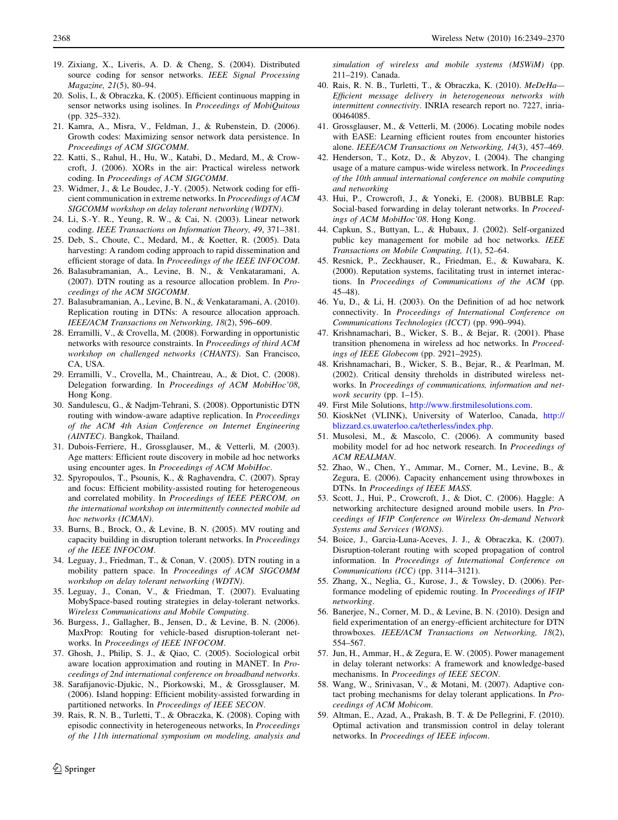- 19. Zixiang, X., Liveris, A. D. & Cheng, S. (2004). Distributed source coding for sensor networks. *IEEE Signal Processing Magazine, 21*(5), 80–94.
- 20. Solis, I., & Obraczka, K. (2005). Efficient continuous mapping in sensor networks using isolines. In *Proceedings of MobiQuitous* (pp. 325–332).
- 21. Kamra, A., Misra, V., Feldman, J., & Rubenstein, D. (2006). Growth codes: Maximizing sensor network data persistence. In *Proceedings of ACM SIGCOMM*.
- 22. Katti, S., Rahul, H., Hu, W., Katabi, D., Medard, M., & Crowcroft, J. (2006). XORs in the air: Practical wireless network coding. In *Proceedings of ACM SIGCOMM*.
- 23. Widmer, J., & Le Boudec, J.-Y. (2005). Network coding for efficient communication in extreme networks. In *Proceedings of ACM SIGCOMM workshop on delay tolerant networking (WDTN)*.
- 24. Li, S.-Y. R., Yeung, R. W., & Cai, N. (2003). Linear network coding. *IEEE Transactions on Information Theory, 49*, 371–381.
- 25. Deb, S., Choute, C., Medard, M., & Koetter, R. (2005). Data harvesting: A random coding approach to rapid dissemination and efficient storage of data. In *Proceedings of the IEEE INFOCOM*.
- 26. Balasubramanian, A., Levine, B. N., & Venkataramani, A. (2007). DTN routing as a resource allocation problem. In *Proceedings of the ACM SIGCOMM*.
- 27. Balasubramanian, A., Levine, B. N., & Venkataramani, A. (2010). Replication routing in DTNs: A resource allocation approach. *IEEE/ACM Transactions on Networking, 18*(2), 596–609.
- 28. Erramilli, V., & Crovella, M. (2008). Forwarding in opportunistic networks with resource constraints. In *Proceedings of third ACM workshop on challenged networks (CHANTS)*. San Francisco, CA, USA.
- 29. Erramilli, V., Crovella, M., Chaintreau, A., & Diot, C. (2008). Delegation forwarding. In *Proceedings of ACM MobiHoc'08*, Hong Kong.
- 30. Sandulescu, G., & Nadjm-Tehrani, S. (2008). Opportunistic DTN routing with window-aware adaptive replication. In *Proceedings of the ACM 4th Asian Conference on Internet Engineering (AINTEC)*. Bangkok, Thailand.
- 31. Dubois-Ferriere, H., Grossglauser, M., & Vetterli, M. (2003). Age matters: Efficient route discovery in mobile ad hoc networks using encounter ages. In *Proceedings of ACM MobiHoc*.
- 32. Spyropoulos, T., Psounis, K., & Raghavendra, C. (2007). Spray and focus: Efficient mobility-assisted routing for heterogeneous and correlated mobility. In *Proceedings of IEEE PERCOM, on the international workshop on intermittently connected mobile ad hoc networks (ICMAN)*.
- 33. Burns, B., Brock, O., & Levine, B. N. (2005). MV routing and capacity building in disruption tolerant networks. In *Proceedings of the IEEE INFOCOM*.
- 34. Leguay, J., Friedman, T., & Conan, V. (2005). DTN routing in a mobility pattern space. In *Proceedings of ACM SIGCOMM workshop on delay tolerant networking (WDTN)*.
- 35. Leguay, J., Conan, V., & Friedman, T. (2007). Evaluating MobySpace-based routing strategies in delay-tolerant networks. *Wireless Communications and Mobile Computing*.
- 36. Burgess, J., Gallagher, B., Jensen, D., & Levine, B. N. (2006). MaxProp: Routing for vehicle-based disruption-tolerant networks. In *Proceedings of IEEE INFOCOM*.
- 37. Ghosh, J., Philip, S. J., & Qiao, C. (2005). Sociological orbit aware location approximation and routing in MANET. In *Proceedings of 2nd international conference on broadband networks*.
- 38. Sarafijanovic-Djukic, N., Piorkowski, M., & Grossglauser, M. (2006). Island hopping: Efficient mobility-assisted forwarding in partitioned networks. In *Proceedings of IEEE SECON*.
- 39. Rais, R. N. B., Turletti, T., & Obraczka, K. (2008). Coping with episodic connectivity in heterogeneous networks, In *Proceedings of the 11th international symposium on modeling, analysis and*

 $\textcircled{2}$  Springer

*simulation of wireless and mobile systems (MSWiM)* (pp. 211–219). Canada.

- 40. Rais, R. N. B., Turletti, T., & Obraczka, K. (2010). *MeDeHa— Efficient message delivery in heterogeneous networks with intermittent connectivity*. INRIA research report no. 7227, inria-00464085.
- 41. Grossglauser, M., & Vetterli, M. (2006). Locating mobile nodes with EASE: Learning efficient routes from encounter histories alone. *IEEE/ACM Transactions on Networking, 14*(3), 457–469.
- 42. Henderson, T., Kotz, D., & Abyzov, I. (2004). The changing usage of a mature campus-wide wireless network. In *Proceedings of the 10th annual international conference on mobile computing and networking*
- 43. Hui, P., Crowcroft, J., & Yoneki, E. (2008). BUBBLE Rap: Social-based forwarding in delay tolerant networks. In *Proceedings of ACM MobiHoc'08*. Hong Kong.
- 44. Capkun, S., Buttyan, L., & Hubaux, J. (2002). Self-organized public key management for mobile ad hoc networks. *IEEE Transactions on Mobile Computing, 1*(1), 52–64.
- 45. Resnick, P., Zeckhauser, R., Friedman, E., & Kuwabara, K. (2000). Reputation systems, facilitating trust in internet interactions. In *Proceedings of Communications of the ACM* (pp. 45–48).
- 46. Yu, D., & Li, H. (2003). On the Definition of ad hoc network connectivity. In *Proceedings of International Conference on Communications Technologies (ICCT)* (pp. 990–994).
- 47. Krishnamachari, B., Wicker, S. B., & Bejar, R. (2001). Phase transition phenomena in wireless ad hoc networks. In *Proceedings of IEEE Globecom* (pp. 2921–2925).
- 48. Krishnamachari, B., Wicker, S. B., Bejar, R., & Pearlman, M. (2002). Critical density threholds in distributed wireless networks. In *Proceedings of communications, information and network security* (pp. 1–15).
- 49. First Mile Solutions, http://www.firstmilesolutions.com.
- 50. KioskNet (VLINK), University of Waterloo, Canada, http:// blizzard.cs.uwaterloo.ca/tetherless/index.php.
- 51. Musolesi, M., & Mascolo, C. (2006). A community based mobility model for ad hoc network research. In *Proceedings of ACM REALMAN*.
- 52. Zhao, W., Chen, Y., Ammar, M., Corner, M., Levine, B., & Zegura, E. (2006). Capacity enhancement using throwboxes in DTNs. In *Proceedings of IEEE MASS*.
- 53. Scott, J., Hui, P., Crowcroft, J., & Diot, C. (2006). Haggle: A networking architecture designed around mobile users. In *Proceedings of IFIP Conference on Wireless On-demand Network Systems and Services (WONS)*.
- 54. Boice, J., Garcia-Luna-Aceves, J. J., & Obraczka, K. (2007). Disruption-tolerant routing with scoped propagation of control information. In *Proceedings of International Conference on Communications (ICC)* (pp. 3114–3121).
- 55. Zhang, X., Neglia, G., Kurose, J., & Towsley, D. (2006). Performance modeling of epidemic routing. In *Proceedings of IFIP networking*.
- 56. Banerjee, N., Corner, M. D., & Levine, B. N. (2010). Design and field experimentation of an energy-efficient architecture for DTN throwboxes. *IEEE/ACM Transactions on Networking, 18*(2), 554–567.
- 57. Jun, H., Ammar, H., & Zegura, E. W. (2005). Power management in delay tolerant networks: A framework and knowledge-based mechanisms. In *Proceedings of IEEE SECON*.
- 58. Wang, W., Srinivasan, V., & Motani, M. (2007). Adaptive contact probing mechanisms for delay tolerant applications. In *Proceedings of ACM Mobicom*.
- 59. Altman, E., Azad, A., Prakash, B. T. & De Pellegrini, F. (2010). Optimal activation and transmission control in delay tolerant networks. In *Proceedings of IEEE infocom*.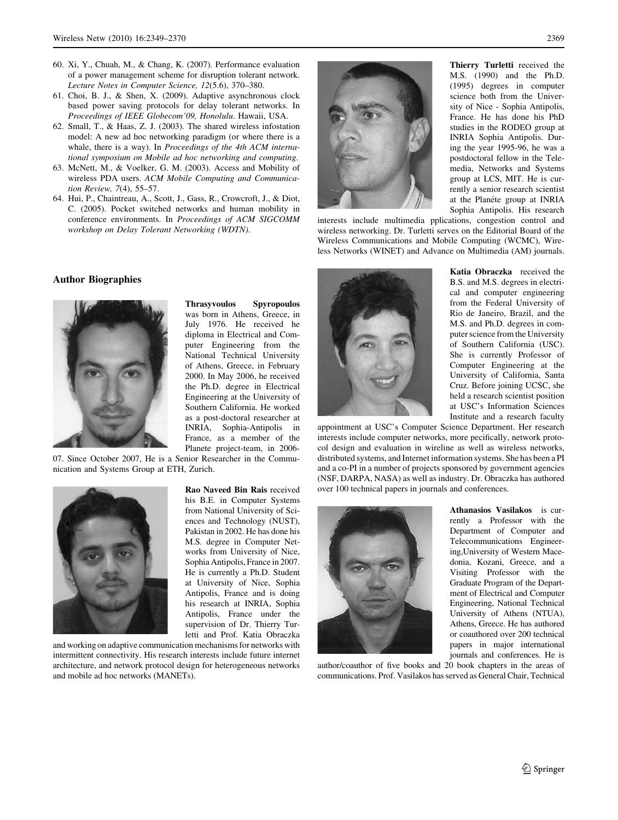- 60. Xi, Y., Chuah, M., & Chang, K. (2007). Performance evaluation of a power management scheme for disruption tolerant network. *Lecture Notes in Computer Science, 12*(5.6), 370–380.
- 61. Choi, B. J., & Shen, X. (2009). Adaptive asynchronous clock based power saving protocols for delay tolerant networks. In *Proceedings of IEEE Globecom'09, Honolulu*. Hawaii, USA.
- 62. Small, T., & Haas, Z. J. (2003). The shared wireless infostation model: A new ad hoc networking paradigm (or where there is a whale, there is a way). In *Proceedings of the 4th ACM international symposium on Mobile ad hoc networking and computing*.
- 63. McNett, M., & Voelker, G. M. (2003). Access and Mobility of wireless PDA users. *ACM Mobile Computing and Communication Review, 7*(4), 55–57.
- 64. Hui, P., Chaintreau, A., Scott, J., Gass, R., Crowcroft, J., & Diot, C. (2005). Pocket switched networks and human mobility in conference environments. In *Proceedings of ACM SIGCOMM workshop on Delay Tolerant Networking (WDTN)*.

#### Author Biographies



Thrasyvoulos Spyropoulos was born in Athens, Greece, in July 1976. He received he diploma in Electrical and Computer Engineering from the National Technical University of Athens, Greece, in February 2000. In May 2006, he received the Ph.D. degree in Electrical Engineering at the University of Southern California. He worked as a post-doctoral researcher at INRIA, Sophia-Antipolis in France, as a member of the Planete project-team, in 2006-

07. Since October 2007, He is a Senior Researcher in the Communication and Systems Group at ETH, Zurich.



Rao Naveed Bin Rais received his B.E. in Computer Systems from National University of Sciences and Technology (NUST), Pakistan in 2002. He has done his M.S. degree in Computer Networks from University of Nice, Sophia Antipolis, France in 2007. He is currently a Ph.D. Student at University of Nice, Sophia Antipolis, France and is doing his research at INRIA, Sophia Antipolis, France under the supervision of Dr. Thierry Turletti and Prof. Katia Obraczka

and working on adaptive communication mechanisms for networks with intermittent connectivity. His research interests include future internet architecture, and network protocol design for heterogeneous networks and mobile ad hoc networks (MANETs).



Thierry Turletti received the M.S. (1990) and the Ph.D. (1995) degrees in computer science both from the University of Nice - Sophia Antipolis, France. He has done his PhD studies in the RODEO group at INRIA Sophia Antipolis. During the year 1995-96, he was a postdoctoral fellow in the Telemedia, Networks and Systems group at LCS, MIT. He is currently a senior research scientist at the Planéte group at INRIA Sophia Antipolis. His research

interests include multimedia pplications, congestion control and wireless networking. Dr. Turletti serves on the Editorial Board of the Wireless Communications and Mobile Computing (WCMC), Wireless Networks (WINET) and Advance on Multimedia (AM) journals.



Katia Obraczka received the B.S. and M.S. degrees in electrical and computer engineering from the Federal University of Rio de Janeiro, Brazil, and the M.S. and Ph.D. degrees in computer science from the University of Southern California (USC). She is currently Professor of Computer Engineering at the University of California, Santa Cruz. Before joining UCSC, she held a research scientist position at USC's Information Sciences Institute and a research faculty

appointment at USC's Computer Science Department. Her research interests include computer networks, more pecifically, network protocol design and evaluation in wireline as well as wireless networks, distributed systems, and Internet information systems. She has been a PI and a co-PI in a number of projects sponsored by government agencies (NSF, DARPA, NASA) as well as industry. Dr. Obraczka has authored over 100 technical papers in journals and conferences.



Athanasios Vasilakos is currently a Professor with the Department of Computer and Telecommunications Engineering,University of Western Macedonia, Kozani, Greece, and a Visiting Professor with the Graduate Program of the Department of Electrical and Computer Engineering, National Technical University of Athens (NTUA), Athens, Greece. He has authored or coauthored over 200 technical papers in major international journals and conferences. He is

author/coauthor of five books and 20 book chapters in the areas of communications. Prof. Vasilakos has served as General Chair, Technical